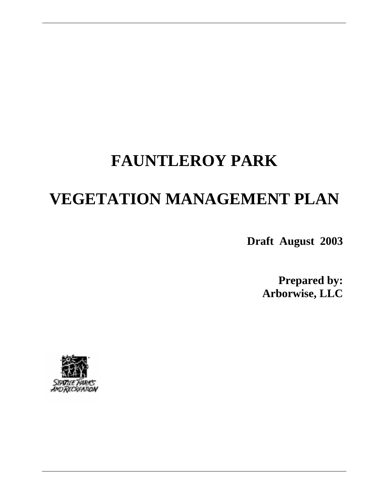# **FAUNTLEROY PARK**

# **VEGETATION MANAGEMENT PLAN**

**Draft August 2003** 

**Prepared by: Arborwise, LLC** 

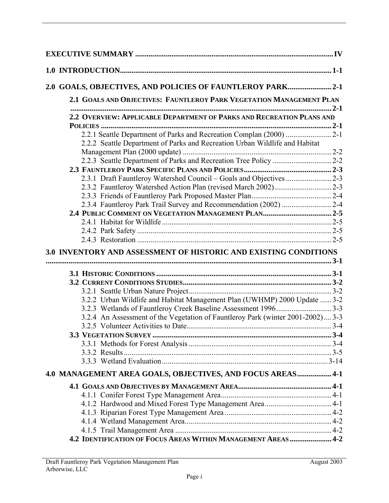| 2.0 GOALS, OBJECTIVES, AND POLICIES OF FAUNTLEROY PARK2-1                       |  |
|---------------------------------------------------------------------------------|--|
| 2.1 GOALS AND OBJECTIVES: FAUNTLEROY PARK VEGETATION MANAGEMENT PLAN            |  |
| 2.2 OVERVIEW: APPLICABLE DEPARTMENT OF PARKS AND RECREATION PLANS AND           |  |
|                                                                                 |  |
| 2.2.1 Seattle Department of Parks and Recreation Complan (2000) 2-1             |  |
| 2.2.2 Seattle Department of Parks and Recreation Urban Wildlife and Habitat     |  |
|                                                                                 |  |
|                                                                                 |  |
|                                                                                 |  |
| 2.3.1 Draft Fauntleroy Watershed Council - Goals and Objectives 2-3             |  |
|                                                                                 |  |
|                                                                                 |  |
| 2.3.4 Fauntleroy Park Trail Survey and Recommendation (2002) 2-4                |  |
|                                                                                 |  |
|                                                                                 |  |
|                                                                                 |  |
|                                                                                 |  |
| 3.0 INVENTORY AND ASSESSMENT OF HISTORIC AND EXISTING CONDITIONS                |  |
|                                                                                 |  |
|                                                                                 |  |
|                                                                                 |  |
|                                                                                 |  |
|                                                                                 |  |
| 3.2.2 Urban Wildlife and Habitat Management Plan (UWHMP) 2000 Update  3-2       |  |
| 3.2.4 An Assessment of the Vegetation of Fauntleroy Park (winter 2001-2002) 3-3 |  |
|                                                                                 |  |
|                                                                                 |  |
|                                                                                 |  |
|                                                                                 |  |
|                                                                                 |  |
| 4.0 MANAGEMENT AREA GOALS, OBJECTIVES, AND FOCUS AREAS 4-1                      |  |
|                                                                                 |  |
|                                                                                 |  |
|                                                                                 |  |
|                                                                                 |  |
|                                                                                 |  |
| 4.2 IDENTIFICATION OF FOCUS AREAS WITHIN MANAGEMENT AREAS  4-2                  |  |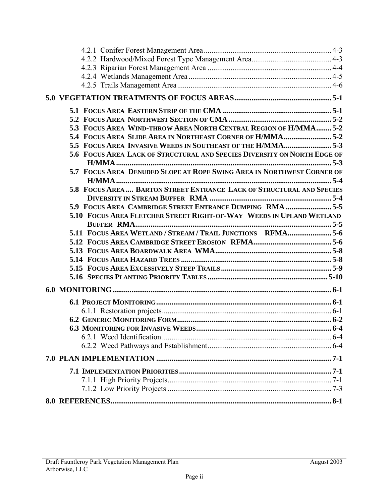| 5.3 FOCUS AREA WIND-THROW AREA NORTH CENTRAL REGION OF H/MMA5-2          |  |
|--------------------------------------------------------------------------|--|
| 5.4 FOCUS AREA SLIDE AREA IN NORTHEAST CORNER OF H/MMA5-2                |  |
| 5.5 FOCUS AREA INVASIVE WEEDS IN SOUTHEAST OF THE H/MMA5-3               |  |
| 5.6 FOCUS AREA LACK OF STRUCTURAL AND SPECIES DIVERSITY ON NORTH EDGE OF |  |
|                                                                          |  |
| 5.7 FOCUS AREA DENUDED SLOPE AT ROPE SWING AREA IN NORTHWEST CORNER OF   |  |
| 5.8 FOCUS AREA  BARTON STREET ENTRANCE LACK OF STRUCTURAL AND SPECIES    |  |
|                                                                          |  |
| 5.5 FOCUS AREA CAMBRIDGE STREET ENTRANCE DUMPING RMA 5-5                 |  |
| 5.10 FOCUS AREA FLETCHER STREET RIGHT-OF-WAY WEEDS IN UPLAND WETLAND     |  |
|                                                                          |  |
| 5.11 FOCUS AREA WETLAND / STREAM / TRAIL JUNCTIONS RFMA5-6               |  |
|                                                                          |  |
|                                                                          |  |
|                                                                          |  |
|                                                                          |  |
|                                                                          |  |
|                                                                          |  |
|                                                                          |  |
|                                                                          |  |
|                                                                          |  |
|                                                                          |  |
|                                                                          |  |
|                                                                          |  |
|                                                                          |  |
|                                                                          |  |
|                                                                          |  |
|                                                                          |  |
|                                                                          |  |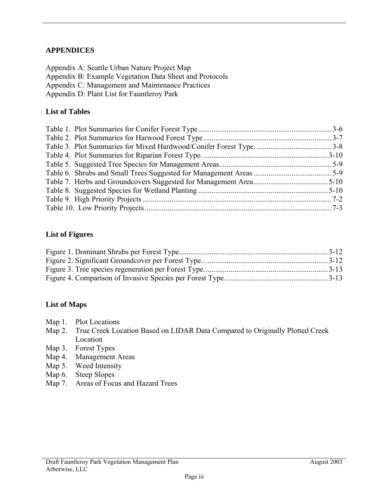## **APPENDICES**

Appendix A: Seattle Urban Nature Project Map Appendix B: Example Vegetation Data Sheet and Protocols Appendix C: Management and Maintenance Practices Appendix D: Plant List for Fauntleroy Park

#### **List of Tables**

#### **List of Figures**

#### **List of Maps**

- Map 1. Plot Locations
- Map 2. True Creek Location Based on LIDAR Data Compared to Originally Plotted Creek Location
- Map 3. Forest Types
- Map 4. Management Areas
- Map 5. Weed Intensity
- Map 6. Steep Slopes
- Map 7. Areas of Focus and Hazard Trees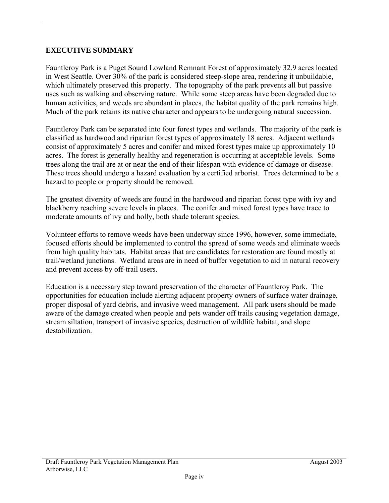## **EXECUTIVE SUMMARY**

Fauntleroy Park is a Puget Sound Lowland Remnant Forest of approximately 32.9 acres located in West Seattle. Over 30% of the park is considered steep-slope area, rendering it unbuildable, which ultimately preserved this property. The topography of the park prevents all but passive uses such as walking and observing nature. While some steep areas have been degraded due to human activities, and weeds are abundant in places, the habitat quality of the park remains high. Much of the park retains its native character and appears to be undergoing natural succession.

Fauntleroy Park can be separated into four forest types and wetlands. The majority of the park is classified as hardwood and riparian forest types of approximately 18 acres. Adjacent wetlands consist of approximately 5 acres and conifer and mixed forest types make up approximately 10 acres. The forest is generally healthy and regeneration is occurring at acceptable levels. Some trees along the trail are at or near the end of their lifespan with evidence of damage or disease. These trees should undergo a hazard evaluation by a certified arborist. Trees determined to be a hazard to people or property should be removed.

The greatest diversity of weeds are found in the hardwood and riparian forest type with ivy and blackberry reaching severe levels in places. The conifer and mixed forest types have trace to moderate amounts of ivy and holly, both shade tolerant species.

Volunteer efforts to remove weeds have been underway since 1996, however, some immediate, focused efforts should be implemented to control the spread of some weeds and eliminate weeds from high quality habitats. Habitat areas that are candidates for restoration are found mostly at trail/wetland junctions. Wetland areas are in need of buffer vegetation to aid in natural recovery and prevent access by off-trail users.

Education is a necessary step toward preservation of the character of Fauntleroy Park. The opportunities for education include alerting adjacent property owners of surface water drainage, proper disposal of yard debris, and invasive weed management. All park users should be made aware of the damage created when people and pets wander off trails causing vegetation damage, stream siltation, transport of invasive species, destruction of wildlife habitat, and slope destabilization.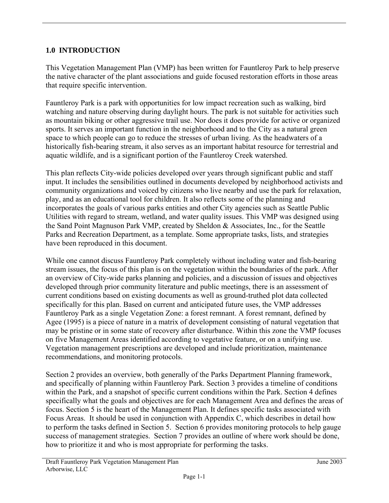# **1.0 INTRODUCTION**

This Vegetation Management Plan (VMP) has been written for Fauntleroy Park to help preserve the native character of the plant associations and guide focused restoration efforts in those areas that require specific intervention.

Fauntleroy Park is a park with opportunities for low impact recreation such as walking, bird watching and nature observing during daylight hours. The park is not suitable for activities such as mountain biking or other aggressive trail use. Nor does it does provide for active or organized sports. It serves an important function in the neighborhood and to the City as a natural green space to which people can go to reduce the stresses of urban living. As the headwaters of a historically fish-bearing stream, it also serves as an important habitat resource for terrestrial and aquatic wildlife, and is a significant portion of the Fauntleroy Creek watershed.

This plan reflects City-wide policies developed over years through significant public and staff input. It includes the sensibilities outlined in documents developed by neighborhood activists and community organizations and voiced by citizens who live nearby and use the park for relaxation, play, and as an educational tool for children. It also reflects some of the planning and incorporates the goals of various parks entities and other City agencies such as Seattle Public Utilities with regard to stream, wetland, and water quality issues. This VMP was designed using the Sand Point Magnuson Park VMP, created by Sheldon & Associates, Inc., for the Seattle Parks and Recreation Department, as a template. Some appropriate tasks, lists, and strategies have been reproduced in this document.

While one cannot discuss Fauntleroy Park completely without including water and fish-bearing stream issues, the focus of this plan is on the vegetation within the boundaries of the park. After an overview of City-wide parks planning and policies, and a discussion of issues and objectives developed through prior community literature and public meetings, there is an assessment of current conditions based on existing documents as well as ground-truthed plot data collected specifically for this plan. Based on current and anticipated future uses, the VMP addresses Fauntleroy Park as a single Vegetation Zone: a forest remnant. A forest remnant, defined by Agee (1995) is a piece of nature in a matrix of development consisting of natural vegetation that may be pristine or in some state of recovery after disturbance. Within this zone the VMP focuses on five Management Areas identified according to vegetative feature, or on a unifying use. Vegetation management prescriptions are developed and include prioritization, maintenance recommendations, and monitoring protocols.

Section 2 provides an overview, both generally of the Parks Department Planning framework, and specifically of planning within Fauntleroy Park. Section 3 provides a timeline of conditions within the Park, and a snapshot of specific current conditions within the Park. Section 4 defines specifically what the goals and objectives are for each Management Area and defines the areas of focus. Section 5 is the heart of the Management Plan. It defines specific tasks associated with Focus Areas. It should be used in conjunction with Appendix C, which describes in detail how to perform the tasks defined in Section 5. Section 6 provides monitoring protocols to help gauge success of management strategies. Section 7 provides an outline of where work should be done, how to prioritize it and who is most appropriate for performing the tasks.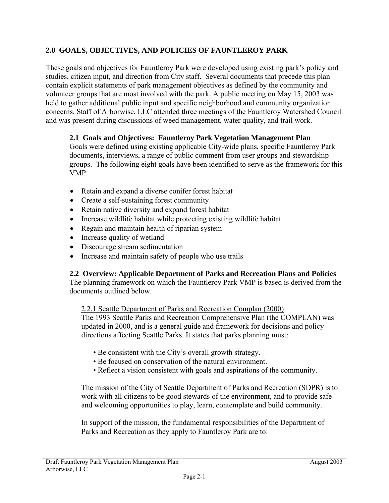# **2.0 GOALS, OBJECTIVES, AND POLICIES OF FAUNTLEROY PARK**

These goals and objectives for Fauntleroy Park were developed using existing park's policy and studies, citizen input, and direction from City staff. Several documents that precede this plan contain explicit statements of park management objectives as defined by the community and volunteer groups that are most involved with the park. A public meeting on May 15, 2003 was held to gather additional public input and specific neighborhood and community organization concerns. Staff of Arborwise, LLC attended three meetings of the Fauntleroy Watershed Council and was present during discussions of weed management, water quality, and trail work.

# **2.1 Goals and Objectives: Fauntleroy Park Vegetation Management Plan**

Goals were defined using existing applicable City-wide plans, specific Fauntleroy Park documents, interviews, a range of public comment from user groups and stewardship groups. The following eight goals have been identified to serve as the framework for this VMP.

- Retain and expand a diverse conifer forest habitat
- Create a self-sustaining forest community
- Retain native diversity and expand forest habitat
- Increase wildlife habitat while protecting existing wildlife habitat
- Regain and maintain health of riparian system
- Increase quality of wetland
- Discourage stream sedimentation
- Increase and maintain safety of people who use trails

## **2.2 Overview: Applicable Department of Parks and Recreation Plans and Policies**

The planning framework on which the Fauntleroy Park VMP is based is derived from the documents outlined below.

## 2.2.1 Seattle Department of Parks and Recreation Complan (2000)

The 1993 Seattle Parks and Recreation Comprehensive Plan (the COMPLAN) was updated in 2000, and is a general guide and framework for decisions and policy directions affecting Seattle Parks. It states that parks planning must:

- Be consistent with the City's overall growth strategy.
- Be focused on conservation of the natural environment.
- Reflect a vision consistent with goals and aspirations of the community.

The mission of the City of Seattle Department of Parks and Recreation (SDPR) is to work with all citizens to be good stewards of the environment, and to provide safe and welcoming opportunities to play, learn, contemplate and build community.

In support of the mission, the fundamental responsibilities of the Department of Parks and Recreation as they apply to Fauntleroy Park are to: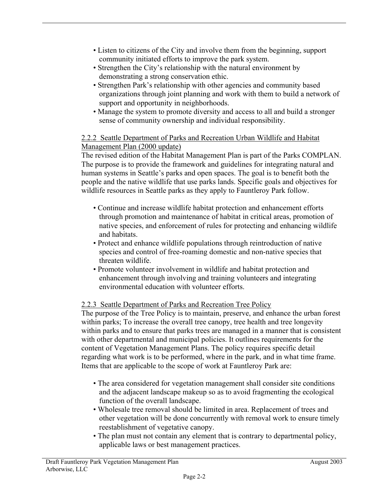- Listen to citizens of the City and involve them from the beginning, support community initiated efforts to improve the park system.
- Strengthen the City's relationship with the natural environment by demonstrating a strong conservation ethic.
- Strengthen Park's relationship with other agencies and community based organizations through joint planning and work with them to build a network of support and opportunity in neighborhoods.
- Manage the system to promote diversity and access to all and build a stronger sense of community ownership and individual responsibility.

## 2.2.2 Seattle Department of Parks and Recreation Urban Wildlife and Habitat Management Plan (2000 update)

The revised edition of the Habitat Management Plan is part of the Parks COMPLAN. The purpose is to provide the framework and guidelines for integrating natural and human systems in Seattle's parks and open spaces. The goal is to benefit both the people and the native wildlife that use parks lands. Specific goals and objectives for wildlife resources in Seattle parks as they apply to Fauntleroy Park follow.

- Continue and increase wildlife habitat protection and enhancement efforts through promotion and maintenance of habitat in critical areas, promotion of native species, and enforcement of rules for protecting and enhancing wildlife and habitats.
- Protect and enhance wildlife populations through reintroduction of native species and control of free-roaming domestic and non-native species that threaten wildlife.
- Promote volunteer involvement in wildlife and habitat protection and enhancement through involving and training volunteers and integrating environmental education with volunteer efforts.

# 2.2.3 Seattle Department of Parks and Recreation Tree Policy

The purpose of the Tree Policy is to maintain, preserve, and enhance the urban forest within parks; To increase the overall tree canopy, tree health and tree longevity within parks and to ensure that parks trees are managed in a manner that is consistent with other departmental and municipal policies. It outlines requirements for the content of Vegetation Management Plans. The policy requires specific detail regarding what work is to be performed, where in the park, and in what time frame. Items that are applicable to the scope of work at Fauntleroy Park are:

- The area considered for vegetation management shall consider site conditions and the adjacent landscape makeup so as to avoid fragmenting the ecological function of the overall landscape.
- Wholesale tree removal should be limited in area. Replacement of trees and other vegetation will be done concurrently with removal work to ensure timely reestablishment of vegetative canopy.
- The plan must not contain any element that is contrary to departmental policy, applicable laws or best management practices.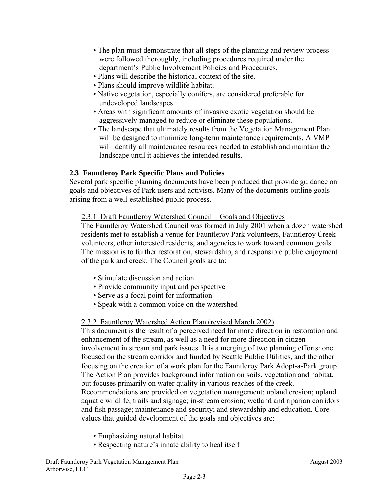- The plan must demonstrate that all steps of the planning and review process were followed thoroughly, including procedures required under the department's Public Involvement Policies and Procedures.
- Plans will describe the historical context of the site.
- Plans should improve wildlife habitat.
- Native vegetation, especially conifers, are considered preferable for undeveloped landscapes.
- Areas with significant amounts of invasive exotic vegetation should be aggressively managed to reduce or eliminate these populations.
- The landscape that ultimately results from the Vegetation Management Plan will be designed to minimize long-term maintenance requirements. A VMP will identify all maintenance resources needed to establish and maintain the landscape until it achieves the intended results.

# **2.3 Fauntleroy Park Specific Plans and Policies**

Several park specific planning documents have been produced that provide guidance on goals and objectives of Park users and activists. Many of the documents outline goals arising from a well-established public process.

# 2.3.1 Draft Fauntleroy Watershed Council – Goals and Objectives

The Fauntleroy Watershed Council was formed in July 2001 when a dozen watershed residents met to establish a venue for Fauntleroy Park volunteers, Fauntleroy Creek volunteers, other interested residents, and agencies to work toward common goals. The mission is to further restoration, stewardship, and responsible public enjoyment of the park and creek. The Council goals are to:

- Stimulate discussion and action
- Provide community input and perspective
- Serve as a focal point for information
- Speak with a common voice on the watershed

# 2.3.2 Fauntleroy Watershed Action Plan (revised March 2002)

This document is the result of a perceived need for more direction in restoration and enhancement of the stream, as well as a need for more direction in citizen involvement in stream and park issues. It is a merging of two planning efforts: one focused on the stream corridor and funded by Seattle Public Utilities, and the other focusing on the creation of a work plan for the Fauntleroy Park Adopt-a-Park group. The Action Plan provides background information on soils, vegetation and habitat, but focuses primarily on water quality in various reaches of the creek. Recommendations are provided on vegetation management; upland erosion; upland aquatic wildlife; trails and signage; in-stream erosion; wetland and riparian corridors and fish passage; maintenance and security; and stewardship and education. Core values that guided development of the goals and objectives are:

- Emphasizing natural habitat
- Respecting nature's innate ability to heal itself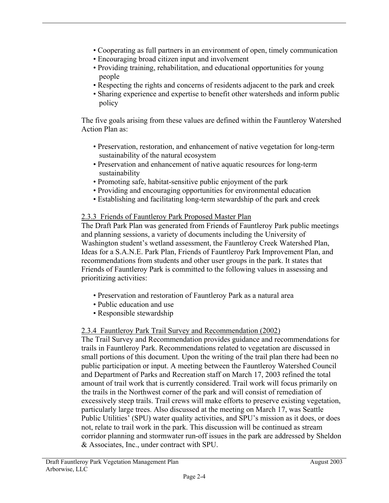- Cooperating as full partners in an environment of open, timely communication
- Encouraging broad citizen input and involvement
- Providing training, rehabilitation, and educational opportunities for young people
- Respecting the rights and concerns of residents adjacent to the park and creek
- Sharing experience and expertise to benefit other watersheds and inform public policy

The five goals arising from these values are defined within the Fauntleroy Watershed Action Plan as:

- Preservation, restoration, and enhancement of native vegetation for long-term sustainability of the natural ecosystem
- Preservation and enhancement of native aquatic resources for long-term sustainability
- Promoting safe, habitat-sensitive public enjoyment of the park
- Providing and encouraging opportunities for environmental education
- Establishing and facilitating long-term stewardship of the park and creek

# 2.3.3 Friends of Fauntleroy Park Proposed Master Plan

The Draft Park Plan was generated from Friends of Fauntleroy Park public meetings and planning sessions, a variety of documents including the University of Washington student's wetland assessment, the Fauntleroy Creek Watershed Plan, Ideas for a S.A.N.E. Park Plan, Friends of Fauntleroy Park Improvement Plan, and recommendations from students and other user groups in the park. It states that Friends of Fauntleroy Park is committed to the following values in assessing and prioritizing activities:

- Preservation and restoration of Fauntleroy Park as a natural area
- Public education and use
- Responsible stewardship

# 2.3.4 Fauntleroy Park Trail Survey and Recommendation (2002)

The Trail Survey and Recommendation provides guidance and recommendations for trails in Fauntleroy Park. Recommendations related to vegetation are discussed in small portions of this document. Upon the writing of the trail plan there had been no public participation or input. A meeting between the Fauntleroy Watershed Council and Department of Parks and Recreation staff on March 17, 2003 refined the total amount of trail work that is currently considered. Trail work will focus primarily on the trails in the Northwest corner of the park and will consist of remediation of excessively steep trails. Trail crews will make efforts to preserve existing vegetation, particularly large trees. Also discussed at the meeting on March 17, was Seattle Public Utilities' (SPU) water quality activities, and SPU's mission as it does, or does not, relate to trail work in the park. This discussion will be continued as stream corridor planning and stormwater run-off issues in the park are addressed by Sheldon & Associates, Inc., under contract with SPU.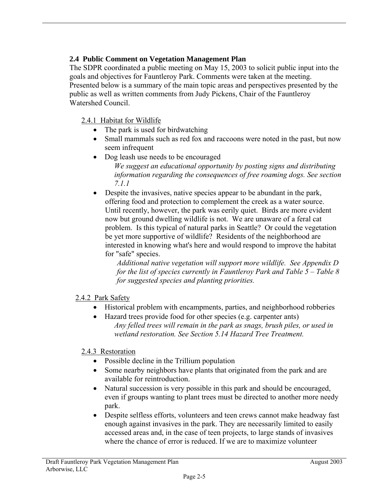# **2.4 Public Comment on Vegetation Management Plan**

The SDPR coordinated a public meeting on May 15, 2003 to solicit public input into the goals and objectives for Fauntleroy Park. Comments were taken at the meeting. Presented below is a summary of the main topic areas and perspectives presented by the public as well as written comments from Judy Pickens, Chair of the Fauntleroy Watershed Council.

# 2.4.1 Habitat for Wildlife

- The park is used for birdwatching
- Small mammals such as red fox and raccoons were noted in the past, but now seem infrequent
- Dog leash use needs to be encouraged *We suggest an educational opportunity by posting signs and distributing information regarding the consequences of free roaming dogs. See section 7.1.1*
- Despite the invasives, native species appear to be abundant in the park. offering food and protection to complement the creek as a water source. Until recently, however, the park was eerily quiet. Birds are more evident now but ground dwelling wildlife is not. We are unaware of a feral cat problem. Is this typical of natural parks in Seattle? Or could the vegetation be yet more supportive of wildlife? Residents of the neighborhood are interested in knowing what's here and would respond to improve the habitat for "safe" species.

*Additional native vegetation will support more wildlife. See Appendix D for the list of species currently in Fauntleroy Park and Table 5 – Table 8 for suggested species and planting priorities.* 

## 2.4.2 Park Safety

- Historical problem with encampments, parties, and neighborhood robberies
- Hazard trees provide food for other species (e.g. carpenter ants) *Any felled trees will remain in the park as snags, brush piles, or used in wetland restoration. See Section 5.14 Hazard Tree Treatment.*

## 2.4.3 Restoration

- Possible decline in the Trillium population
- Some nearby neighbors have plants that originated from the park and are available for reintroduction.
- Natural succession is very possible in this park and should be encouraged, even if groups wanting to plant trees must be directed to another more needy park.
- Despite selfless efforts, volunteers and teen crews cannot make headway fast enough against invasives in the park. They are necessarily limited to easily accessed areas and, in the case of teen projects, to large stands of invasives where the chance of error is reduced. If we are to maximize volunteer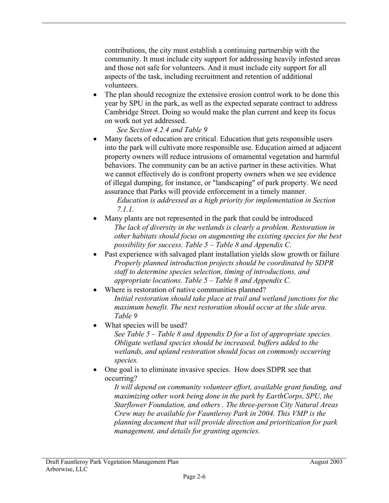contributions, the city must establish a continuing partnership with the community. It must include city support for addressing heavily infested areas and those not safe for volunteers. And it must include city support for all aspects of the task, including recruitment and retention of additional volunteers.

The plan should recognize the extensive erosion control work to be done this year by SPU in the park, as well as the expected separate contract to address Cambridge Street. Doing so would make the plan current and keep its focus on work not yet addressed.

*See Section 4.2.4 and Table 9* 

• Many facets of education are critical. Education that gets responsible users into the park will cultivate more responsible use. Education aimed at adjacent property owners will reduce intrusions of ornamental vegetation and harmful behaviors. The community can be an active partner in these activities. What we cannot effectively do is confront property owners when we see evidence of illegal dumping, for instance, or "landscaping" of park property. We need assurance that Parks will provide enforcement in a timely manner.

*Education is addressed as a high priority for implementation in Section 7.1.1.* 

- Many plants are not represented in the park that could be introduced *The lack of diversity in the wetlands is clearly a problem. Restoration in other habitats should focus on augmenting the existing species for the best possibility for success. Table 5 – Table 8 and Appendix C.*
- Past experience with salvaged plant installation yields slow growth or failure *Properly planned introduction projects should be coordinated by SDPR staff to determine species selection, timing of introductions, and appropriate locations. Table 5 – Table 8 and Appendix C.*
- Where is restoration of native communities planned? *Initial restoration should take place at trail and wetland junctions for the maximum benefit. The next restoration should occur at the slide area. Table 9*
- What species will be used?

*See Table 5 – Table 8 and Appendix D for a list of appropriate species. Obligate wetland species should be increased, buffers added to the wetlands, and upland restoration should focus on commonly occurring species.* 

• One goal is to eliminate invasive species. How does SDPR see that occurring?

*It will depend on community volunteer effort, available grant funding, and maximizing other work being done in the park by EarthCorps, SPU, the Starflower Foundation, and others . The three-person City Natural Areas Crew may be available for Fauntleroy Park in 2004. This VMP is the planning document that will provide direction and prioritization for park management, and details for granting agencies.*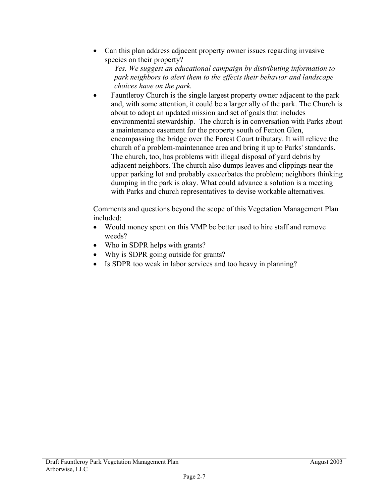• Can this plan address adjacent property owner issues regarding invasive species on their property?

*Yes. We suggest an educational campaign by distributing information to park neighbors to alert them to the effects their behavior and landscape choices have on the park.*

• Fauntleroy Church is the single largest property owner adjacent to the park and, with some attention, it could be a larger ally of the park. The Church is about to adopt an updated mission and set of goals that includes environmental stewardship. The church is in conversation with Parks about a maintenance easement for the property south of Fenton Glen, encompassing the bridge over the Forest Court tributary. It will relieve the church of a problem-maintenance area and bring it up to Parks' standards. The church, too, has problems with illegal disposal of yard debris by adjacent neighbors. The church also dumps leaves and clippings near the upper parking lot and probably exacerbates the problem; neighbors thinking dumping in the park is okay. What could advance a solution is a meeting with Parks and church representatives to devise workable alternatives.

Comments and questions beyond the scope of this Vegetation Management Plan included:

- Would money spent on this VMP be better used to hire staff and remove weeds?
- Who in SDPR helps with grants?
- Why is SDPR going outside for grants?
- Is SDPR too weak in labor services and too heavy in planning?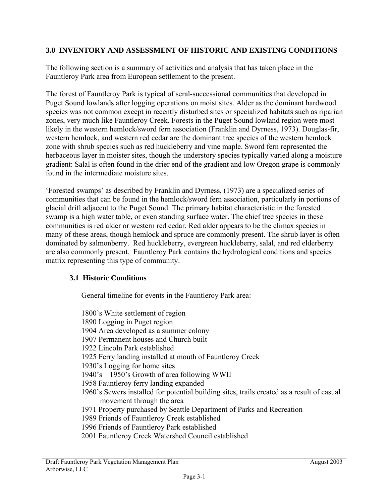# **3.0 INVENTORY AND ASSESSMENT OF HISTORIC AND EXISTING CONDITIONS**

The following section is a summary of activities and analysis that has taken place in the Fauntleroy Park area from European settlement to the present.

The forest of Fauntleroy Park is typical of seral-successional communities that developed in Puget Sound lowlands after logging operations on moist sites. Alder as the dominant hardwood species was not common except in recently disturbed sites or specialized habitats such as riparian zones, very much like Fauntleroy Creek. Forests in the Puget Sound lowland region were most likely in the western hemlock/sword fern association (Franklin and Dyrness, 1973). Douglas-fir, western hemlock, and western red cedar are the dominant tree species of the western hemlock zone with shrub species such as red huckleberry and vine maple. Sword fern represented the herbaceous layer in moister sites, though the understory species typically varied along a moisture gradient: Salal is often found in the drier end of the gradient and low Oregon grape is commonly found in the intermediate moisture sites.

'Forested swamps' as described by Franklin and Dyrness, (1973) are a specialized series of communities that can be found in the hemlock/sword fern association, particularly in portions of glacial drift adjacent to the Puget Sound. The primary habitat characteristic in the forested swamp is a high water table, or even standing surface water. The chief tree species in these communities is red alder or western red cedar. Red alder appears to be the climax species in many of these areas, though hemlock and spruce are commonly present. The shrub layer is often dominated by salmonberry. Red huckleberry, evergreen huckleberry, salal, and red elderberry are also commonly present. Fauntleroy Park contains the hydrological conditions and species matrix representing this type of community.

## **3.1 Historic Conditions**

General timeline for events in the Fauntleroy Park area:

1800's White settlement of region 1890 Logging in Puget region 1904 Area developed as a summer colony 1907 Permanent houses and Church built 1922 Lincoln Park established 1925 Ferry landing installed at mouth of Fauntleroy Creek 1930's Logging for home sites 1940's – 1950's Growth of area following WWII 1958 Fauntleroy ferry landing expanded 1960's Sewers installed for potential building sites, trails created as a result of casual movement through the area 1971 Property purchased by Seattle Department of Parks and Recreation 1989 Friends of Fauntleroy Creek established 1996 Friends of Fauntleroy Park established 2001 Fauntleroy Creek Watershed Council established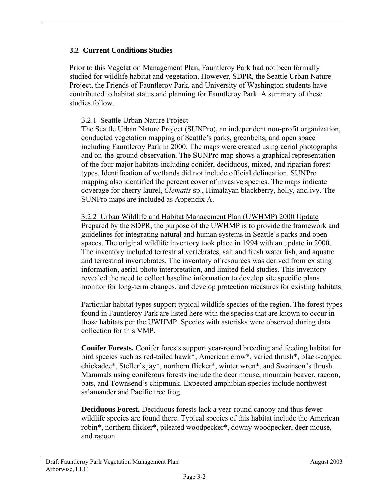# **3.2 Current Conditions Studies**

Prior to this Vegetation Management Plan, Fauntleroy Park had not been formally studied for wildlife habitat and vegetation. However, SDPR, the Seattle Urban Nature Project, the Friends of Fauntleroy Park, and University of Washington students have contributed to habitat status and planning for Fauntleroy Park. A summary of these studies follow.

## 3.2.1 Seattle Urban Nature Project

The Seattle Urban Nature Project (SUNPro), an independent non-profit organization, conducted vegetation mapping of Seattle's parks, greenbelts, and open space including Fauntleroy Park in 2000. The maps were created using aerial photographs and on-the-ground observation. The SUNPro map shows a graphical representation of the four major habitats including conifer, deciduous, mixed, and riparian forest types. Identification of wetlands did not include official delineation. SUNPro mapping also identified the percent cover of invasive species. The maps indicate coverage for cherry laurel, *Clematis* sp., Himalayan blackberry, holly, and ivy. The SUNPro maps are included as Appendix A.

3.2.2 Urban Wildlife and Habitat Management Plan (UWHMP) 2000 Update Prepared by the SDPR, the purpose of the UWHMP is to provide the framework and guidelines for integrating natural and human systems in Seattle's parks and open spaces. The original wildlife inventory took place in 1994 with an update in 2000. The inventory included terrestrial vertebrates, salt and fresh water fish, and aquatic and terrestrial invertebrates. The inventory of resources was derived from existing information, aerial photo interpretation, and limited field studies. This inventory revealed the need to collect baseline information to develop site specific plans, monitor for long-term changes, and develop protection measures for existing habitats.

Particular habitat types support typical wildlife species of the region. The forest types found in Fauntleroy Park are listed here with the species that are known to occur in those habitats per the UWHMP. Species with asterisks were observed during data collection for this VMP.

**Conifer Forests.** Conifer forests support year-round breeding and feeding habitat for bird species such as red-tailed hawk\*, American crow\*, varied thrush\*, black-capped chickadee\*, Steller's jay\*, northern flicker\*, winter wren\*, and Swainson's thrush. Mammals using coniferous forests include the deer mouse, mountain beaver, racoon, bats, and Townsend's chipmunk. Expected amphibian species include northwest salamander and Pacific tree frog.

**Deciduous Forest.** Deciduous forests lack a year-round canopy and thus fewer wildlife species are found there. Typical species of this habitat include the American robin\*, northern flicker\*, pileated woodpecker\*, downy woodpecker, deer mouse, and racoon.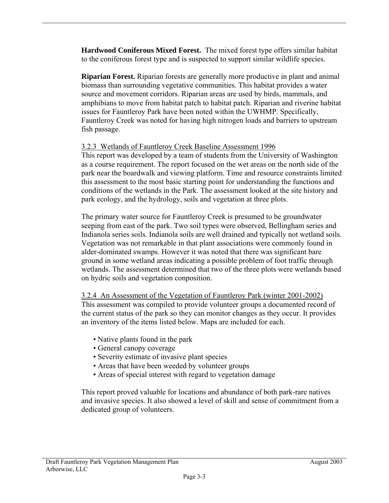**Hardwood Coniferous Mixed Forest.** The mixed forest type offers similar habitat to the coniferous forest type and is suspected to support similar wildlife species.

**Riparian Forest.** Riparian forests are generally more productive in plant and animal biomass than surrounding vegetative communities. This habitat provides a water source and movement corridors. Riparian areas are used by birds, mammals, and amphibians to move from habitat patch to habitat patch. Riparian and riverine habitat issues for Fauntleroy Park have been noted within the UWHMP. Specifically, Fauntleroy Creek was noted for having high nitrogen loads and barriers to upstream fish passage.

## 3.2.3 Wetlands of Fauntleroy Creek Baseline Assessment 1996

This report was developed by a team of students from the University of Washington as a course requirement. The report focused on the wet areas on the north side of the park near the boardwalk and viewing platform. Time and resource constraints limited this assessment to the most basic starting point for understanding the functions and conditions of the wetlands in the Park. The assessment looked at the site history and park ecology, and the hydrology, soils and vegetation at three plots.

The primary water source for Fauntleroy Creek is presumed to be groundwater seeping from east of the park. Two soil types were observed, Bellingham series and Indianola series soils. Indianola soils are well drained and typically not wetland soils. Vegetation was not remarkable in that plant associations were commonly found in alder-dominated swamps. However it was noted that there was significant bare ground in some wetland areas indicating a possible problem of foot traffic through wetlands. The assessment determined that two of the three plots were wetlands based on hydric soils and vegetation conposition.

3.2.4 An Assessment of the Vegetation of Fauntleroy Park (winter 2001-2002) This assessment was compiled to provide volunteer groups a documented record of the current status of the park so they can monitor changes as they occur. It provides an inventory of the items listed below. Maps are included for each.

- Native plants found in the park
- General canopy coverage
- Severity estimate of invasive plant species
- Areas that have been weeded by volunteer groups
- Areas of special interest with regard to vegetation damage

This report proved valuable for locations and abundance of both park-rare natives and invasive species. It also showed a level of skill and sense of commitment from a dedicated group of volunteers.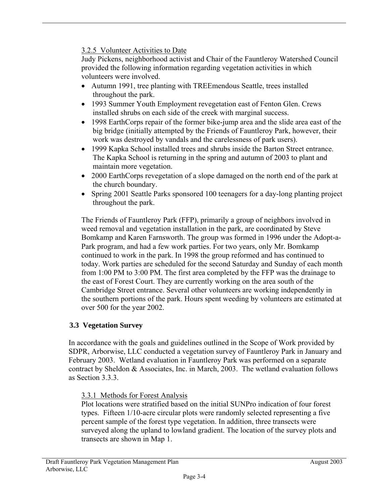# 3.2.5 Volunteer Activities to Date

Judy Pickens, neighborhood activist and Chair of the Fauntleroy Watershed Council provided the following information regarding vegetation activities in which volunteers were involved.

- Autumn 1991, tree planting with TREEmendous Seattle, trees installed throughout the park.
- 1993 Summer Youth Employment revegetation east of Fenton Glen. Crews installed shrubs on each side of the creek with marginal success.
- 1998 EarthCorps repair of the former bike-jump area and the slide area east of the big bridge (initially attempted by the Friends of Fauntleroy Park, however, their work was destroyed by vandals and the carelessness of park users).
- 1999 Kapka School installed trees and shrubs inside the Barton Street entrance. The Kapka School is returning in the spring and autumn of 2003 to plant and maintain more vegetation.
- 2000 EarthCorps revegetation of a slope damaged on the north end of the park at the church boundary.
- Spring 2001 Seattle Parks sponsored 100 teenagers for a day-long planting project throughout the park.

The Friends of Fauntleroy Park (FFP), primarily a group of neighbors involved in weed removal and vegetation installation in the park, are coordinated by Steve Bomkamp and Karen Farnsworth. The group was formed in 1996 under the Adopt-a-Park program, and had a few work parties. For two years, only Mr. Bomkamp continued to work in the park. In 1998 the group reformed and has continued to today. Work parties are scheduled for the second Saturday and Sunday of each month from 1:00 PM to 3:00 PM. The first area completed by the FFP was the drainage to the east of Forest Court. They are currently working on the area south of the Cambridge Street entrance. Several other volunteers are working independently in the southern portions of the park. Hours spent weeding by volunteers are estimated at over 500 for the year 2002.

# **3.3 Vegetation Survey**

In accordance with the goals and guidelines outlined in the Scope of Work provided by SDPR, Arborwise, LLC conducted a vegetation survey of Fauntleroy Park in January and February 2003. Wetland evaluation in Fauntleroy Park was performed on a separate contract by Sheldon & Associates, Inc. in March, 2003. The wetland evaluation follows as Section 3.3.3.

## 3.3.1 Methods for Forest Analysis

Plot locations were stratified based on the initial SUNPro indication of four forest types. Fifteen 1/10-acre circular plots were randomly selected representing a five percent sample of the forest type vegetation. In addition, three transects were surveyed along the upland to lowland gradient. The location of the survey plots and transects are shown in Map 1.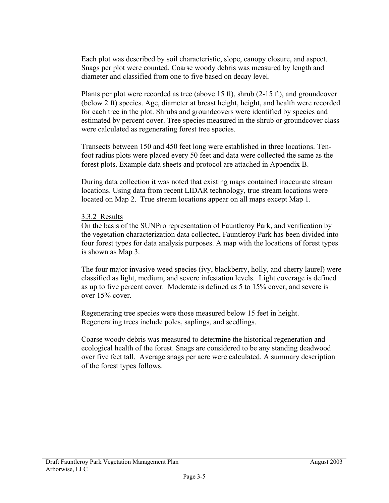Each plot was described by soil characteristic, slope, canopy closure, and aspect. Snags per plot were counted. Coarse woody debris was measured by length and diameter and classified from one to five based on decay level.

Plants per plot were recorded as tree (above 15 ft), shrub (2-15 ft), and groundcover (below 2 ft) species. Age, diameter at breast height, height, and health were recorded for each tree in the plot. Shrubs and groundcovers were identified by species and estimated by percent cover. Tree species measured in the shrub or groundcover class were calculated as regenerating forest tree species.

Transects between 150 and 450 feet long were established in three locations. Tenfoot radius plots were placed every 50 feet and data were collected the same as the forest plots. Example data sheets and protocol are attached in Appendix B.

During data collection it was noted that existing maps contained inaccurate stream locations. Using data from recent LIDAR technology, true stream locations were located on Map 2. True stream locations appear on all maps except Map 1.

#### 3.3.2 Results

On the basis of the SUNPro representation of Fauntleroy Park, and verification by the vegetation characterization data collected, Fauntleroy Park has been divided into four forest types for data analysis purposes. A map with the locations of forest types is shown as Map 3.

The four major invasive weed species (ivy, blackberry, holly, and cherry laurel) were classified as light, medium, and severe infestation levels. Light coverage is defined as up to five percent cover. Moderate is defined as 5 to 15% cover, and severe is over 15% cover.

Regenerating tree species were those measured below 15 feet in height. Regenerating trees include poles, saplings, and seedlings.

Coarse woody debris was measured to determine the historical regeneration and ecological health of the forest. Snags are considered to be any standing deadwood over five feet tall. Average snags per acre were calculated. A summary description of the forest types follows.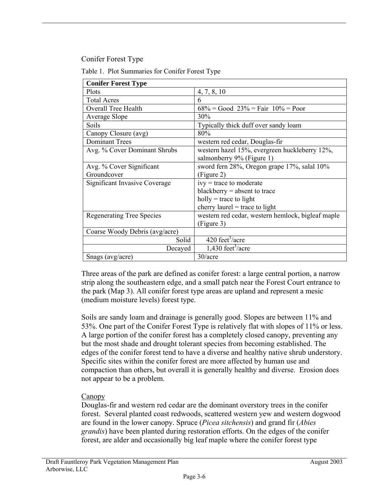Conifer Forest Type

| <b>Conifer Forest Type</b>       |                                                   |
|----------------------------------|---------------------------------------------------|
| Plots                            | 4, 7, 8, 10                                       |
| <b>Total Acres</b>               | 6                                                 |
| <b>Overall Tree Health</b>       | $68\%$ = Good $23\%$ = Fair $10\%$ = Poor         |
| Average Slope                    | 30%                                               |
| Soils                            | Typically thick duff over sandy loam              |
| Canopy Closure (avg)             | 80%                                               |
| <b>Dominant Trees</b>            | western red cedar, Douglas-fir                    |
| Avg. % Cover Dominant Shrubs     | western hazel 15%, evergreen huckleberry 12%,     |
|                                  | salmonberry 9% (Figure 1)                         |
| Avg. % Cover Significant         | sword fern 28%, Oregon grape 17%, salal 10%       |
| Groundcover                      | (Figure 2)                                        |
| Significant Invasive Coverage    | $ivy = trace to moderate$                         |
|                                  | blackberry $=$ absent to trace                    |
|                                  | $holly = trace to light$                          |
|                                  | cherry laurel = trace to light                    |
| <b>Regenerating Tree Species</b> | western red cedar, western hemlock, bigleaf maple |
|                                  | (Figure 3)                                        |
| Coarse Woody Debris (avg/acre)   |                                                   |
| Solid                            | 420 feet <sup>3</sup> /acre                       |
| Decayed                          | $1,430$ feet <sup>3</sup> /acre                   |
| Snags (avg/acre)                 | 30/acre                                           |

Table 1. Plot Summaries for Conifer Forest Type

Three areas of the park are defined as conifer forest: a large central portion, a narrow strip along the southeastern edge, and a small patch near the Forest Court entrance to the park (Map 3). All conifer forest type areas are upland and represent a mesic (medium moisture levels) forest type.

Soils are sandy loam and drainage is generally good. Slopes are between 11% and 53%. One part of the Conifer Forest Type is relatively flat with slopes of 11% or less. A large portion of the conifer forest has a completely closed canopy, preventing any but the most shade and drought tolerant species from becoming established. The edges of the conifer forest tend to have a diverse and healthy native shrub understory. Specific sites within the conifer forest are more affected by human use and compaction than others, but overall it is generally healthy and diverse. Erosion does not appear to be a problem.

## Canopy

Douglas-fir and western red cedar are the dominant overstory trees in the conifer forest. Several planted coast redwoods, scattered western yew and western dogwood are found in the lower canopy. Spruce (*Picea sitchensis*) and grand fir (*Abies grandis*) have been planted during restoration efforts. On the edges of the conifer forest, are alder and occasionally big leaf maple where the conifer forest type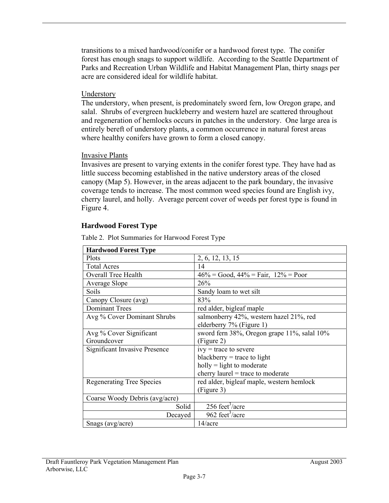transitions to a mixed hardwood/conifer or a hardwood forest type. The conifer forest has enough snags to support wildlife. According to the Seattle Department of Parks and Recreation Urban Wildlife and Habitat Management Plan, thirty snags per acre are considered ideal for wildlife habitat.

#### Understory

The understory, when present, is predominately sword fern, low Oregon grape, and salal. Shrubs of evergreen huckleberry and western hazel are scattered throughout and regeneration of hemlocks occurs in patches in the understory. One large area is entirely bereft of understory plants, a common occurrence in natural forest areas where healthy conifers have grown to form a closed canopy.

#### Invasive Plants

Invasives are present to varying extents in the conifer forest type. They have had as little success becoming established in the native understory areas of the closed canopy (Map 5). However, in the areas adjacent to the park boundary, the invasive coverage tends to increase. The most common weed species found are English ivy, cherry laurel, and holly. Average percent cover of weeds per forest type is found in Figure 4.

## **Hardwood Forest Type**

| <b>Hardwood Forest Type</b>          |                                             |
|--------------------------------------|---------------------------------------------|
| Plots                                | 2, 6, 12, 13, 15                            |
| <b>Total Acres</b>                   | 14                                          |
| <b>Overall Tree Health</b>           | $46\%$ = Good, $44\%$ = Fair, $12\%$ = Poor |
| Average Slope                        | 26%                                         |
| Soils                                | Sandy loam to wet silt                      |
| Canopy Closure (avg)                 | 83%                                         |
| <b>Dominant Trees</b>                | red alder, bigleaf maple                    |
| Avg % Cover Dominant Shrubs          | salmonberry 42%, western hazel 21%, red     |
|                                      | elderberry 7% (Figure 1)                    |
| Avg % Cover Significant              | sword fern 38%, Oregon grape 11%, salal 10% |
| Groundcover                          | (Figure 2)                                  |
| <b>Significant Invasive Presence</b> | $ivy$ = trace to severe                     |
|                                      | blackberry = trace to light                 |
|                                      | $holly = light to moderate$                 |
|                                      | cherry laurel $=$ trace to moderate         |
| <b>Regenerating Tree Species</b>     | red alder, bigleaf maple, western hemlock   |
|                                      | (Figure 3)                                  |
| Coarse Woody Debris (avg/acre)       |                                             |
| Solid                                | $256 \text{ feet}^3/\text{acre}$            |
| Decayed                              | 962 feet <sup>3</sup> /acre                 |
| Snags (avg/acre)                     | 14/acre                                     |

Table 2. Plot Summaries for Harwood Forest Type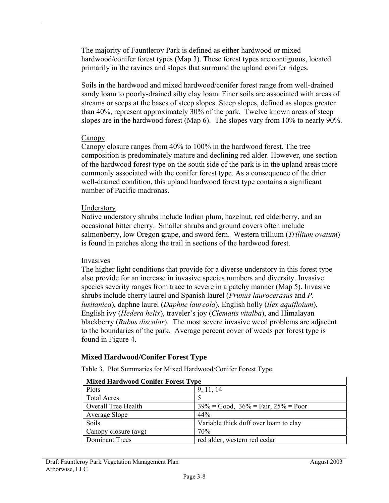The majority of Fauntleroy Park is defined as either hardwood or mixed hardwood/conifer forest types (Map 3). These forest types are contiguous, located primarily in the ravines and slopes that surround the upland conifer ridges.

Soils in the hardwood and mixed hardwood/conifer forest range from well-drained sandy loam to poorly-drained silty clay loam. Finer soils are associated with areas of streams or seeps at the bases of steep slopes. Steep slopes, defined as slopes greater than 40%, represent approximately 30% of the park. Twelve known areas of steep slopes are in the hardwood forest (Map 6). The slopes vary from 10% to nearly 90%.

## Canopy

Canopy closure ranges from 40% to 100% in the hardwood forest. The tree composition is predominately mature and declining red alder. However, one section of the hardwood forest type on the south side of the park is in the upland areas more commonly associated with the conifer forest type. As a consequence of the drier well-drained condition, this upland hardwood forest type contains a significant number of Pacific madronas.

## Understory

Native understory shrubs include Indian plum, hazelnut, red elderberry, and an occasional bitter cherry. Smaller shrubs and ground covers often include salmonberry, low Oregon grape, and sword fern. Western trillium (*Trillium ovatum*) is found in patches along the trail in sections of the hardwood forest.

## Invasives

The higher light conditions that provide for a diverse understory in this forest type also provide for an increase in invasive species numbers and diversity. Invasive species severity ranges from trace to severe in a patchy manner (Map 5). Invasive shrubs include cherry laurel and Spanish laurel (*Prunus laurocerasus* and *P. lusitanica*), daphne laurel (*Daphne laureola*), English holly (*Ilex aquifloium*), English ivy (*Hedera helix*), traveler's joy (*Clematis vitalba*), and Himalayan blackberry (*Rubus discolor*). The most severe invasive weed problems are adjacent to the boundaries of the park. Average percent cover of weeds per forest type is found in Figure 4.

## **Mixed Hardwood/Conifer Forest Type**

| <b>Mixed Hardwood Conifer Forest Type</b> |                                               |
|-------------------------------------------|-----------------------------------------------|
| Plots                                     | 9, 11, 14                                     |
| <b>Total Acres</b>                        |                                               |
| <b>Overall Tree Health</b>                | $39\% = Good$ , $36\% = Fair$ , $25\% = Poor$ |
| Average Slope                             | 44%                                           |
| Soils                                     | Variable thick duff over loam to clay         |
| Canopy closure (avg)                      | 70%                                           |
| <b>Dominant Trees</b>                     | red alder, western red cedar                  |

Table 3. Plot Summaries for Mixed Hardwood/Conifer Forest Type.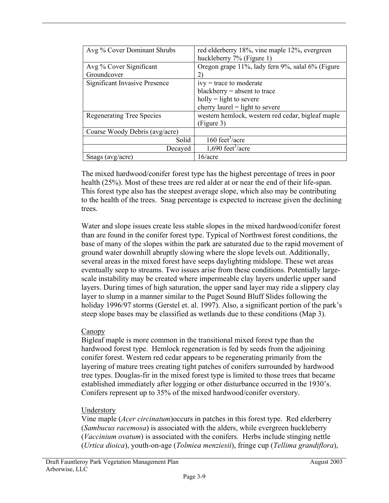| Avg % Cover Dominant Shrubs      | red elderberry 18%, vine maple 12%, evergreen     |
|----------------------------------|---------------------------------------------------|
|                                  | huckleberry 7% (Figure 1)                         |
| Avg % Cover Significant          | Oregon grape 11%, lady fern 9%, salal 6% (Figure  |
| Groundcover                      | 2)                                                |
| Significant Invasive Presence    | $ivy = trace to moderate$                         |
|                                  | blackberry = absent to trace                      |
|                                  | $holly = light to severe$                         |
|                                  | cherry laurel $=$ light to severe                 |
| <b>Regenerating Tree Species</b> | western hemlock, western red cedar, bigleaf maple |
|                                  | (Figure 3)                                        |
| Coarse Woody Debris (avg/acre)   |                                                   |
| Solid                            | 160 feet <sup>3</sup> /acre                       |
| Decayed                          | 1,690 feet <sup>3</sup> /acre                     |
| Snags ( $avg/acre$ )             | 16/acre                                           |

The mixed hardwood/conifer forest type has the highest percentage of trees in poor health (25%). Most of these trees are red alder at or near the end of their life-span. This forest type also has the steepest average slope, which also may be contributing to the health of the trees. Snag percentage is expected to increase given the declining trees.

Water and slope issues create less stable slopes in the mixed hardwood/conifer forest than are found in the conifer forest type. Typical of Northwest forest conditions, the base of many of the slopes within the park are saturated due to the rapid movement of ground water downhill abruptly slowing where the slope levels out. Additionally, several areas in the mixed forest have seeps daylighting midslope. These wet areas eventually seep to streams. Two issues arise from these conditions. Potentially largescale instability may be created where impermeable clay layers underlie upper sand layers. During times of high saturation, the upper sand layer may ride a slippery clay layer to slump in a manner similar to the Puget Sound Bluff Slides following the holiday 1996/97 storms (Gerstel et. al. 1997). Also, a significant portion of the park's steep slope bases may be classified as wetlands due to these conditions (Map 3).

## Canopy

Bigleaf maple is more common in the transitional mixed forest type than the hardwood forest type. Hemlock regeneration is fed by seeds from the adjoining conifer forest. Western red cedar appears to be regenerating primarily from the layering of mature trees creating tight patches of conifers surrounded by hardwood tree types. Douglas-fir in the mixed forest type is limited to those trees that became established immediately after logging or other disturbance occurred in the 1930's. Conifers represent up to 35% of the mixed hardwood/conifer overstory.

## Understory

Vine maple (*Acer circinatum*)occurs in patches in this forest type. Red elderberry (*Sambucus racemosa*) is associated with the alders, while evergreen huckleberry (*Vaccinium ovatum*) is associated with the conifers. Herbs include stinging nettle (*Urtica dioica*), youth-on-age (*Tolmiea menziesii*), fringe cup (*Tellima grandiflora*),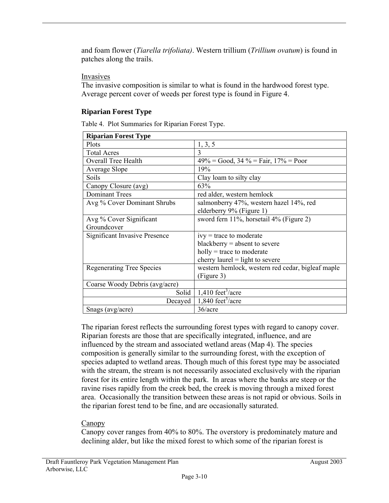and foam flower (*Tiarella trifoliata)*. Western trillium (*Trillium ovatum*) is found in patches along the trails.

## Invasives

The invasive composition is similar to what is found in the hardwood forest type. Average percent cover of weeds per forest type is found in Figure 4.

# **Riparian Forest Type**

Table 4. Plot Summaries for Riparian Forest Type.

| <b>Riparian Forest Type</b>          |                                                   |
|--------------------------------------|---------------------------------------------------|
| Plots                                | 1, 3, 5                                           |
| <b>Total Acres</b>                   | 3                                                 |
| <b>Overall Tree Health</b>           | $49\%$ = Good, 34 % = Fair, 17% = Poor            |
| Average Slope                        | 19%                                               |
| Soils                                | Clay loam to silty clay                           |
| Canopy Closure (avg)                 | 63%                                               |
| <b>Dominant Trees</b>                | red alder, western hemlock                        |
| Avg % Cover Dominant Shrubs          | salmonberry 47%, western hazel 14%, red           |
|                                      | elderberry 9% (Figure 1)                          |
| Avg % Cover Significant              | sword fern 11%, horsetail 4% (Figure 2)           |
| Groundcover                          |                                                   |
| <b>Significant Invasive Presence</b> | $ivy = trace to moderate$                         |
|                                      | blackberry $=$ absent to severe                   |
|                                      | $holly = trace to moderate$                       |
|                                      | cherry laurel $=$ light to severe                 |
| <b>Regenerating Tree Species</b>     | western hemlock, western red cedar, bigleaf maple |
|                                      | (Figure 3)                                        |
| Coarse Woody Debris (avg/acre)       |                                                   |
| Solid                                | $1,410$ feet <sup>3</sup> /acre                   |
| Decayed                              | $1,840$ feet <sup>3</sup> /acre                   |
| Snags (avg/acre)                     | 36/acre                                           |

The riparian forest reflects the surrounding forest types with regard to canopy cover. Riparian forests are those that are specifically integrated, influence, and are influenced by the stream and associated wetland areas (Map 4). The species composition is generally similar to the surrounding forest, with the exception of species adapted to wetland areas. Though much of this forest type may be associated with the stream, the stream is not necessarily associated exclusively with the riparian forest for its entire length within the park. In areas where the banks are steep or the ravine rises rapidly from the creek bed, the creek is moving through a mixed forest area. Occasionally the transition between these areas is not rapid or obvious. Soils in the riparian forest tend to be fine, and are occasionally saturated.

# Canopy

Canopy cover ranges from 40% to 80%. The overstory is predominately mature and declining alder, but like the mixed forest to which some of the riparian forest is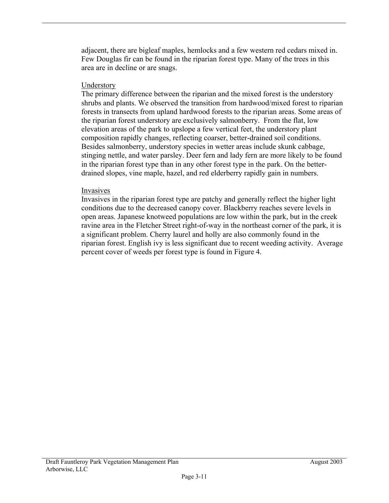adjacent, there are bigleaf maples, hemlocks and a few western red cedars mixed in. Few Douglas fir can be found in the riparian forest type. Many of the trees in this area are in decline or are snags.

#### **Understory**

The primary difference between the riparian and the mixed forest is the understory shrubs and plants. We observed the transition from hardwood/mixed forest to riparian forests in transects from upland hardwood forests to the riparian areas. Some areas of the riparian forest understory are exclusively salmonberry. From the flat, low elevation areas of the park to upslope a few vertical feet, the understory plant composition rapidly changes, reflecting coarser, better-drained soil conditions. Besides salmonberry, understory species in wetter areas include skunk cabbage, stinging nettle, and water parsley. Deer fern and lady fern are more likely to be found in the riparian forest type than in any other forest type in the park. On the betterdrained slopes, vine maple, hazel, and red elderberry rapidly gain in numbers.

#### Invasives

Invasives in the riparian forest type are patchy and generally reflect the higher light conditions due to the decreased canopy cover. Blackberry reaches severe levels in open areas. Japanese knotweed populations are low within the park, but in the creek ravine area in the Fletcher Street right-of-way in the northeast corner of the park, it is a significant problem. Cherry laurel and holly are also commonly found in the riparian forest. English ivy is less significant due to recent weeding activity. Average percent cover of weeds per forest type is found in Figure 4.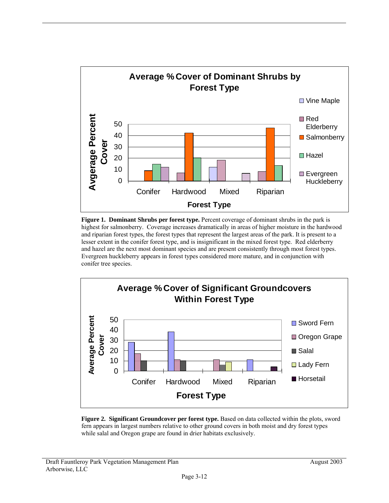

**Figure 1. Dominant Shrubs per forest type.** Percent coverage of dominant shrubs in the park is highest for salmonberry. Coverage increases dramatically in areas of higher moisture in the hardwood and riparian forest types, the forest types that represent the largest areas of the park. It is present to a lesser extent in the conifer forest type, and is insignificant in the mixed forest type. Red elderberry and hazel are the next most dominant species and are present consistently through most forest types. Evergreen huckleberry appears in forest types considered more mature, and in conjunction with conifer tree species.



**Figure 2. Significant Groundcover per forest type.** Based on data collected within the plots, sword fern appears in largest numbers relative to other ground covers in both moist and dry forest types while salal and Oregon grape are found in drier habitats exclusively.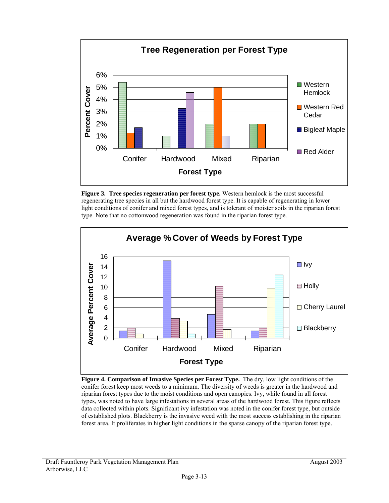

**Figure 3. Tree species regeneration per forest type.** Western hemlock is the most successful regenerating tree species in all but the hardwood forest type. It is capable of regenerating in lower light conditions of conifer and mixed forest types, and is tolerant of moister soils in the riparian forest type. Note that no cottonwood regeneration was found in the riparian forest type.



**Figure 4. Comparison of Invasive Species per Forest Type.** The dry, low light conditions of the conifer forest keep most weeds to a minimum. The diversity of weeds is greater in the hardwood and riparian forest types due to the moist conditions and open canopies. Ivy, while found in all forest types, was noted to have large infestations in several areas of the hardwood forest. This figure reflects data collected within plots. Significant ivy infestation was noted in the conifer forest type, but outside of established plots. Blackberry is the invasive weed with the most success establishing in the riparian forest area. It proliferates in higher light conditions in the sparse canopy of the riparian forest type.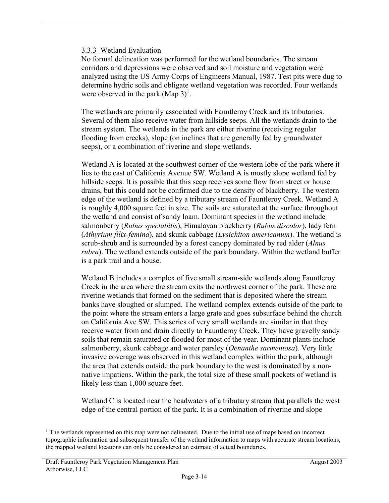#### 3.3.3 Wetland Evaluation

No formal delineation was performed for the wetland boundaries. The stream corridors and depressions were observed and soil moisture and vegetation were analyzed using the US Army Corps of Engineers Manual, 1987. Test pits were dug to determine hydric soils and obligate wetland vegetation was recorded. Four wetlands were observed in the park  $(Map 3)^1$ .

The wetlands are primarily associated with Fauntleroy Creek and its tributaries. Several of them also receive water from hillside seeps. All the wetlands drain to the stream system. The wetlands in the park are either riverine (receiving regular flooding from creeks), slope (on inclines that are generally fed by groundwater seeps), or a combination of riverine and slope wetlands.

Wetland A is located at the southwest corner of the western lobe of the park where it lies to the east of California Avenue SW. Wetland A is mostly slope wetland fed by hillside seeps. It is possible that this seep receives some flow from street or house drains, but this could not be confirmed due to the density of blackberry. The western edge of the wetland is defined by a tributary stream of Fauntleroy Creek. Wetland A is roughly 4,000 square feet in size. The soils are saturated at the surface throughout the wetland and consist of sandy loam. Dominant species in the wetland include salmonberry (*Rubus spectabilis*), Himalayan blackberry (*Rubus discolor*), lady fern (*Athyrium filix-femina*), and skunk cabbage (*Lysichiton americanum*). The wetland is scrub-shrub and is surrounded by a forest canopy dominated by red alder (*Alnus rubra*). The wetland extends outside of the park boundary. Within the wetland buffer is a park trail and a house.

Wetland B includes a complex of five small stream-side wetlands along Fauntleroy Creek in the area where the stream exits the northwest corner of the park. These are riverine wetlands that formed on the sediment that is deposited where the stream banks have sloughed or slumped. The wetland complex extends outside of the park to the point where the stream enters a large grate and goes subsurface behind the church on California Ave SW. This series of very small wetlands are similar in that they receive water from and drain directly to Fauntleroy Creek. They have gravelly sandy soils that remain saturated or flooded for most of the year. Dominant plants include salmonberry, skunk cabbage and water parsley (*Oenanthe sarmentosa*). Very little invasive coverage was observed in this wetland complex within the park, although the area that extends outside the park boundary to the west is dominated by a nonnative impatiens. Within the park, the total size of these small pockets of wetland is likely less than 1,000 square feet.

Wetland C is located near the headwaters of a tributary stream that parallels the west edge of the central portion of the park. It is a combination of riverine and slope

 $\overline{a}$ <sup>1</sup> The wetlands represented on this map were not delineated. Due to the initial use of maps based on incorrect topographic information and subsequent transfer of the wetland information to maps with accurate stream locations, the mapped wetland locations can only be considered an estimate of actual boundaries.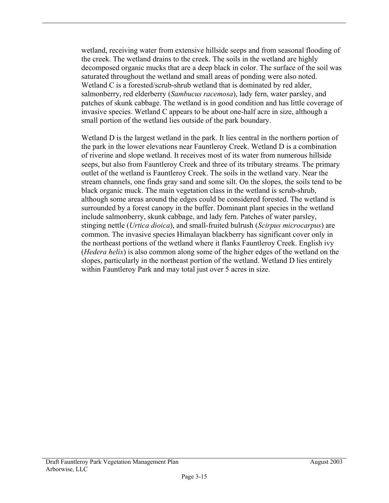wetland, receiving water from extensive hillside seeps and from seasonal flooding of the creek. The wetland drains to the creek. The soils in the wetland are highly decomposed organic mucks that are a deep black in color. The surface of the soil was saturated throughout the wetland and small areas of ponding were also noted. Wetland C is a forested/scrub-shrub wetland that is dominated by red alder, salmonberry, red elderberry (*Sambucus racemosa*), lady fern, water parsley, and patches of skunk cabbage. The wetland is in good condition and has little coverage of invasive species. Wetland C appears to be about one-half acre in size, although a small portion of the wetland lies outside of the park boundary.

Wetland D is the largest wetland in the park. It lies central in the northern portion of the park in the lower elevations near Fauntleroy Creek. Wetland D is a combination of riverine and slope wetland. It receives most of its water from numerous hillside seeps, but also from Fauntleroy Creek and three of its tributary streams. The primary outlet of the wetland is Fauntleroy Creek. The soils in the wetland vary. Near the stream channels, one finds gray sand and some silt. On the slopes, the soils tend to be black organic muck. The main vegetation class in the wetland is scrub-shrub, although some areas around the edges could be considered forested. The wetland is surrounded by a forest canopy in the buffer. Dominant plant species in the wetland include salmonberry, skunk cabbage, and lady fern. Patches of water parsley, stinging nettle (*Urtica dioica*), and small-fruited bulrush (*Scirpus microcarpus*) are common. The invasive species Himalayan blackberry has significant cover only in the northeast portions of the wetland where it flanks Fauntleroy Creek. English ivy (*Hedera helix*) is also common along some of the higher edges of the wetland on the slopes, particularly in the northeast portion of the wetland. Wetland D lies entirely within Fauntleroy Park and may total just over 5 acres in size.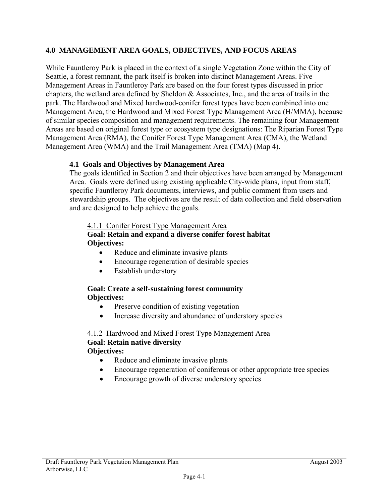# **4.0 MANAGEMENT AREA GOALS, OBJECTIVES, AND FOCUS AREAS**

While Fauntleroy Park is placed in the context of a single Vegetation Zone within the City of Seattle, a forest remnant, the park itself is broken into distinct Management Areas. Five Management Areas in Fauntleroy Park are based on the four forest types discussed in prior chapters, the wetland area defined by Sheldon & Associates, Inc., and the area of trails in the park. The Hardwood and Mixed hardwood-conifer forest types have been combined into one Management Area, the Hardwood and Mixed Forest Type Management Area (H/MMA), because of similar species composition and management requirements. The remaining four Management Areas are based on original forest type or ecosystem type designations: The Riparian Forest Type Management Area (RMA), the Conifer Forest Type Management Area (CMA), the Wetland Management Area (WMA) and the Trail Management Area (TMA) (Map 4).

## **4.1 Goals and Objectives by Management Area**

The goals identified in Section 2 and their objectives have been arranged by Management Area. Goals were defined using existing applicable City-wide plans, input from staff, specific Fauntleroy Park documents, interviews, and public comment from users and stewardship groups. The objectives are the result of data collection and field observation and are designed to help achieve the goals.

#### 4.1.1 Conifer Forest Type Management Area

## **Goal: Retain and expand a diverse conifer forest habitat Objectives:**

- Reduce and eliminate invasive plants
- Encourage regeneration of desirable species
- Establish understory

#### **Goal: Create a self-sustaining forest community Objectives:**

- Preserve condition of existing vegetation
- Increase diversity and abundance of understory species

#### 4.1.2 Hardwood and Mixed Forest Type Management Area **Goal: Retain native diversity Objectives:**

- Reduce and eliminate invasive plants
- Encourage regeneration of coniferous or other appropriate tree species
- Encourage growth of diverse understory species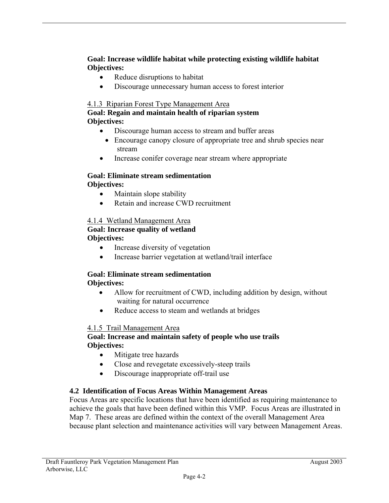**Goal: Increase wildlife habitat while protecting existing wildlife habitat Objectives:** 

- Reduce disruptions to habitat
- Discourage unnecessary human access to forest interior

## 4.1.3 Riparian Forest Type Management Area

#### **Goal: Regain and maintain health of riparian system Objectives:**

- Discourage human access to stream and buffer areas
	- Encourage canopy closure of appropriate tree and shrub species near stream
- Increase conifer coverage near stream where appropriate

# **Goal: Eliminate stream sedimentation**

# **Objectives:**

- Maintain slope stability
- Retain and increase CWD recruitment

# 4.1.4 Wetland Management Area

#### **Goal: Increase quality of wetland Objectives:**

- Increase diversity of vegetation
- Increase barrier vegetation at wetland/trail interface

#### **Goal: Eliminate stream sedimentation Objectives:**

## • Allow for recruitment of CWD, including addition by design, without waiting for natural occurrence

• Reduce access to steam and wetlands at bridges

## 4.1.5 Trail Management Area

## **Goal: Increase and maintain safety of people who use trails Objectives:**

- Mitigate tree hazards
- Close and revegetate excessively-steep trails
- Discourage inappropriate off-trail use

## **4.2 Identification of Focus Areas Within Management Areas**

Focus Areas are specific locations that have been identified as requiring maintenance to achieve the goals that have been defined within this VMP. Focus Areas are illustrated in Map 7. These areas are defined within the context of the overall Management Area because plant selection and maintenance activities will vary between Management Areas.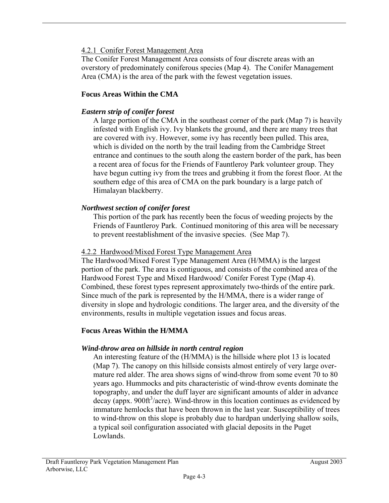## 4.2.1 Conifer Forest Management Area

The Conifer Forest Management Area consists of four discrete areas with an overstory of predominately coniferous species (Map 4). The Conifer Management Area (CMA) is the area of the park with the fewest vegetation issues.

## **Focus Areas Within the CMA**

## *Eastern strip of conifer forest*

A large portion of the CMA in the southeast corner of the park (Map 7) is heavily infested with English ivy. Ivy blankets the ground, and there are many trees that are covered with ivy. However, some ivy has recently been pulled. This area, which is divided on the north by the trail leading from the Cambridge Street entrance and continues to the south along the eastern border of the park, has been a recent area of focus for the Friends of Fauntleroy Park volunteer group. They have begun cutting ivy from the trees and grubbing it from the forest floor. At the southern edge of this area of CMA on the park boundary is a large patch of Himalayan blackberry.

## *Northwest section of conifer forest*

This portion of the park has recently been the focus of weeding projects by the Friends of Fauntleroy Park. Continued monitoring of this area will be necessary to prevent reestablishment of the invasive species. (See Map 7).

#### 4.2.2 Hardwood/Mixed Forest Type Management Area

The Hardwood/Mixed Forest Type Management Area (H/MMA) is the largest portion of the park. The area is contiguous, and consists of the combined area of the Hardwood Forest Type and Mixed Hardwood/ Conifer Forest Type (Map 4). Combined, these forest types represent approximately two-thirds of the entire park. Since much of the park is represented by the H/MMA, there is a wider range of diversity in slope and hydrologic conditions. The larger area, and the diversity of the environments, results in multiple vegetation issues and focus areas.

#### **Focus Areas Within the H/MMA**

#### *Wind-throw area on hillside in north central region*

An interesting feature of the (H/MMA) is the hillside where plot 13 is located (Map 7). The canopy on this hillside consists almost entirely of very large overmature red alder. The area shows signs of wind-throw from some event 70 to 80 years ago. Hummocks and pits characteristic of wind-throw events dominate the topography, and under the duff layer are significant amounts of alder in advance decay (appx. 900ft<sup>3</sup>/acre). Wind-throw in this location continues as evidenced by immature hemlocks that have been thrown in the last year. Susceptibility of trees to wind-throw on this slope is probably due to hardpan underlying shallow soils, a typical soil configuration associated with glacial deposits in the Puget Lowlands.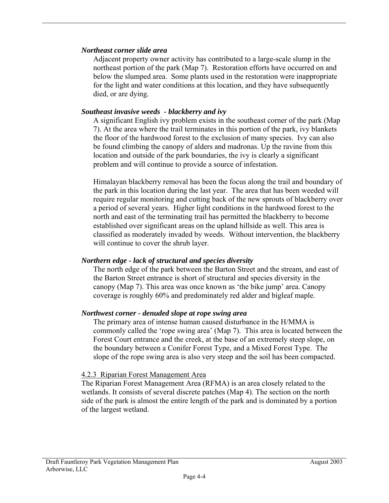#### *Northeast corner slide area*

Adjacent property owner activity has contributed to a large-scale slump in the northeast portion of the park (Map 7). Restoration efforts have occurred on and below the slumped area. Some plants used in the restoration were inappropriate for the light and water conditions at this location, and they have subsequently died, or are dying.

#### *Southeast invasive weeds - blackberry and ivy*

A significant English ivy problem exists in the southeast corner of the park (Map 7). At the area where the trail terminates in this portion of the park, ivy blankets the floor of the hardwood forest to the exclusion of many species. Ivy can also be found climbing the canopy of alders and madronas. Up the ravine from this location and outside of the park boundaries, the ivy is clearly a significant problem and will continue to provide a source of infestation.

Himalayan blackberry removal has been the focus along the trail and boundary of the park in this location during the last year. The area that has been weeded will require regular monitoring and cutting back of the new sprouts of blackberry over a period of several years. Higher light conditions in the hardwood forest to the north and east of the terminating trail has permitted the blackberry to become established over significant areas on the upland hillside as well. This area is classified as moderately invaded by weeds. Without intervention, the blackberry will continue to cover the shrub layer.

## *Northern edge - lack of structural and species diversity*

The north edge of the park between the Barton Street and the stream, and east of the Barton Street entrance is short of structural and species diversity in the canopy (Map 7). This area was once known as 'the bike jump' area. Canopy coverage is roughly 60% and predominately red alder and bigleaf maple.

#### *Northwest corner - denuded slope at rope swing area*

The primary area of intense human caused disturbance in the H/MMA is commonly called the 'rope swing area' (Map 7). This area is located between the Forest Court entrance and the creek, at the base of an extremely steep slope, on the boundary between a Conifer Forest Type, and a Mixed Forest Type. The slope of the rope swing area is also very steep and the soil has been compacted.

#### 4.2.3 Riparian Forest Management Area

The Riparian Forest Management Area (RFMA) is an area closely related to the wetlands. It consists of several discrete patches (Map 4). The section on the north side of the park is almost the entire length of the park and is dominated by a portion of the largest wetland.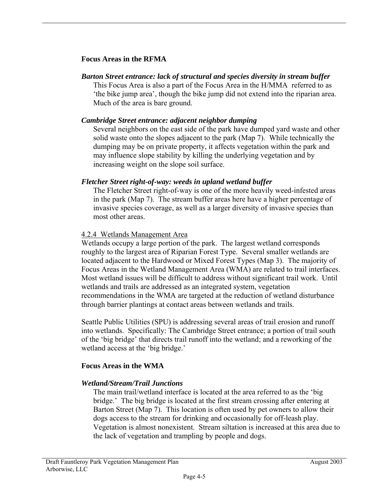#### **Focus Areas in the RFMA**

## *Barton Street entrance: lack of structural and species diversity in stream buffer*

This Focus Area is also a part of the Focus Area in the H/MMA referred to as 'the bike jump area', though the bike jump did not extend into the riparian area. Much of the area is bare ground.

#### *Cambridge Street entrance: adjacent neighbor dumping*

Several neighbors on the east side of the park have dumped yard waste and other solid waste onto the slopes adjacent to the park (Map 7). While technically the dumping may be on private property, it affects vegetation within the park and may influence slope stability by killing the underlying vegetation and by increasing weight on the slope soil surface.

#### *Fletcher Street right-of-way: weeds in upland wetland buffer*

The Fletcher Street right-of-way is one of the more heavily weed-infested areas in the park (Map 7). The stream buffer areas here have a higher percentage of invasive species coverage, as well as a larger diversity of invasive species than most other areas.

#### 4.2.4 Wetlands Management Area

Wetlands occupy a large portion of the park. The largest wetland corresponds roughly to the largest area of Riparian Forest Type. Several smaller wetlands are located adjacent to the Hardwood or Mixed Forest Types (Map 3). The majority of Focus Areas in the Wetland Management Area (WMA) are related to trail interfaces. Most wetland issues will be difficult to address without significant trail work. Until wetlands and trails are addressed as an integrated system, vegetation recommendations in the WMA are targeted at the reduction of wetland disturbance through barrier plantings at contact areas between wetlands and trails.

Seattle Public Utilities (SPU) is addressing several areas of trail erosion and runoff into wetlands. Specifically: The Cambridge Street entrance; a portion of trail south of the 'big bridge' that directs trail runoff into the wetland; and a reworking of the wetland access at the 'big bridge.'

## **Focus Areas in the WMA**

## *Wetland/Stream/Trail Junctions*

The main trail/wetland interface is located at the area referred to as the 'big bridge.' The big bridge is located at the first stream crossing after entering at Barton Street (Map 7). This location is often used by pet owners to allow their dogs access to the stream for drinking and occasionally for off-leash play. Vegetation is almost nonexistent. Stream siltation is increased at this area due to the lack of vegetation and trampling by people and dogs.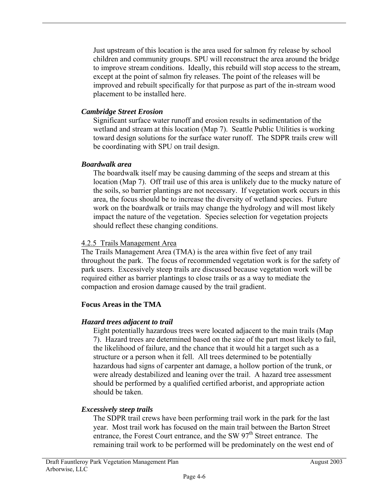Just upstream of this location is the area used for salmon fry release by school children and community groups. SPU will reconstruct the area around the bridge to improve stream conditions. Ideally, this rebuild will stop access to the stream, except at the point of salmon fry releases. The point of the releases will be improved and rebuilt specifically for that purpose as part of the in-stream wood placement to be installed here.

## *Cambridge Street Erosion*

Significant surface water runoff and erosion results in sedimentation of the wetland and stream at this location (Map 7). Seattle Public Utilities is working toward design solutions for the surface water runoff. The SDPR trails crew will be coordinating with SPU on trail design.

#### *Boardwalk area*

The boardwalk itself may be causing damming of the seeps and stream at this location (Map 7). Off trail use of this area is unlikely due to the mucky nature of the soils, so barrier plantings are not necessary. If vegetation work occurs in this area, the focus should be to increase the diversity of wetland species. Future work on the boardwalk or trails may change the hydrology and will most likely impact the nature of the vegetation. Species selection for vegetation projects should reflect these changing conditions.

#### 4.2.5 Trails Management Area

The Trails Management Area (TMA) is the area within five feet of any trail throughout the park. The focus of recommended vegetation work is for the safety of park users. Excessively steep trails are discussed because vegetation work will be required either as barrier plantings to close trails or as a way to mediate the compaction and erosion damage caused by the trail gradient.

## **Focus Areas in the TMA**

## *Hazard trees adjacent to trail*

Eight potentially hazardous trees were located adjacent to the main trails (Map 7). Hazard trees are determined based on the size of the part most likely to fail, the likelihood of failure, and the chance that it would hit a target such as a structure or a person when it fell. All trees determined to be potentially hazardous had signs of carpenter ant damage, a hollow portion of the trunk, or were already destabilized and leaning over the trail. A hazard tree assessment should be performed by a qualified certified arborist, and appropriate action should be taken.

## *Excessively steep trails*

The SDPR trail crews have been performing trail work in the park for the last year. Most trail work has focused on the main trail between the Barton Street entrance, the Forest Court entrance, and the SW  $97<sup>th</sup>$  Street entrance. The remaining trail work to be performed will be predominately on the west end of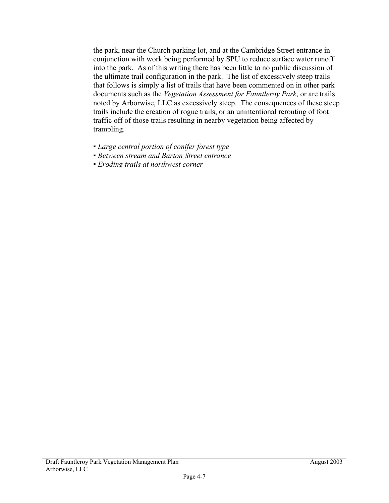the park, near the Church parking lot, and at the Cambridge Street entrance in conjunction with work being performed by SPU to reduce surface water runoff into the park. As of this writing there has been little to no public discussion of the ultimate trail configuration in the park. The list of excessively steep trails that follows is simply a list of trails that have been commented on in other park documents such as the *Vegetation Assessment for Fauntleroy Park*, or are trails noted by Arborwise, LLC as excessively steep. The consequences of these steep trails include the creation of rogue trails, or an unintentional rerouting of foot traffic off of those trails resulting in nearby vegetation being affected by trampling.

- *▪ Large central portion of conifer forest type*
- *▪ Between stream and Barton Street entrance*
- *▪ Eroding trails at northwest corner*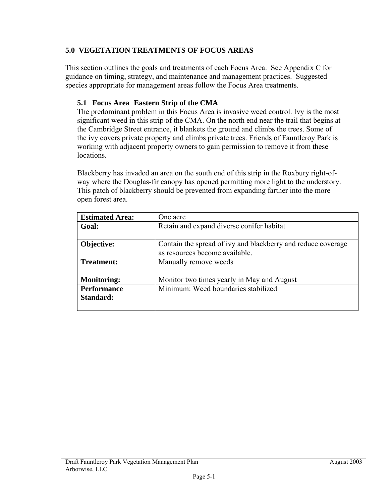# **5.0 VEGETATION TREATMENTS OF FOCUS AREAS**

This section outlines the goals and treatments of each Focus Area. See Appendix C for guidance on timing, strategy, and maintenance and management practices. Suggested species appropriate for management areas follow the Focus Area treatments.

## **5.1 Focus Area Eastern Strip of the CMA**

The predominant problem in this Focus Area is invasive weed control. Ivy is the most significant weed in this strip of the CMA. On the north end near the trail that begins at the Cambridge Street entrance, it blankets the ground and climbs the trees. Some of the ivy covers private property and climbs private trees. Friends of Fauntleroy Park is working with adjacent property owners to gain permission to remove it from these locations.

Blackberry has invaded an area on the south end of this strip in the Roxbury right-ofway where the Douglas-fir canopy has opened permitting more light to the understory. This patch of blackberry should be prevented from expanding farther into the more open forest area.

| <b>Estimated Area:</b> | One acre                                                                                       |
|------------------------|------------------------------------------------------------------------------------------------|
| Goal:                  | Retain and expand diverse conifer habitat                                                      |
| Objective:             | Contain the spread of ivy and blackberry and reduce coverage<br>as resources become available. |
| <b>Treatment:</b>      | Manually remove weeds                                                                          |
| <b>Monitoring:</b>     | Monitor two times yearly in May and August                                                     |
| <b>Performance</b>     | Minimum: Weed boundaries stabilized                                                            |
| Standard:              |                                                                                                |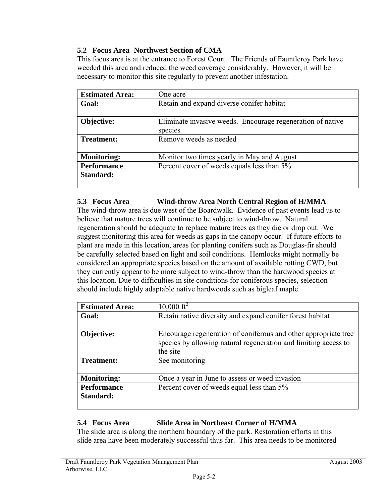# **5.2 Focus Area Northwest Section of CMA**

This focus area is at the entrance to Forest Court. The Friends of Fauntleroy Park have weeded this area and reduced the weed coverage considerably. However, it will be necessary to monitor this site regularly to prevent another infestation.

| <b>Estimated Area:</b> | One acre                                                              |
|------------------------|-----------------------------------------------------------------------|
| Goal:                  | Retain and expand diverse conifer habitat                             |
| Objective:             | Eliminate invasive weeds. Encourage regeneration of native<br>species |
| <b>Treatment:</b>      | Remove weeds as needed                                                |
| <b>Monitoring:</b>     | Monitor two times yearly in May and August                            |
| <b>Performance</b>     | Percent cover of weeds equals less than 5%                            |
| Standard:              |                                                                       |

## **5.3 Focus Area Wind-throw Area North Central Region of H/MMA**

The wind-throw area is due west of the Boardwalk. Evidence of past events lead us to believe that mature trees will continue to be subject to wind-throw. Natural regeneration should be adequate to replace mature trees as they die or drop out. We suggest monitoring this area for weeds as gaps in the canopy occur. If future efforts to plant are made in this location, areas for planting conifers such as Douglas-fir should be carefully selected based on light and soil conditions. Hemlocks might normally be considered an appropriate species based on the amount of available rotting CWD, but they currently appear to be more subject to wind-throw than the hardwood species at this location. Due to difficulties in site conditions for coniferous species, selection should include highly adaptable native hardwoods such as bigleaf maple.

| <b>Estimated Area:</b>          | $10,000 \text{ ft}^2$                                                                                                                          |
|---------------------------------|------------------------------------------------------------------------------------------------------------------------------------------------|
| Goal:                           | Retain native diversity and expand conifer forest habitat                                                                                      |
| Objective:                      | Encourage regeneration of coniferous and other appropriate tree<br>species by allowing natural regeneration and limiting access to<br>the site |
| <b>Treatment:</b>               | See monitoring                                                                                                                                 |
| <b>Monitoring:</b>              | Once a year in June to assess or weed invasion                                                                                                 |
| <b>Performance</b><br>Standard: | Percent cover of weeds equal less than 5%                                                                                                      |

# **5.4 Focus Area Slide Area in Northeast Corner of H/MMA**

The slide area is along the northern boundary of the park. Restoration efforts in this slide area have been moderately successful thus far. This area needs to be monitored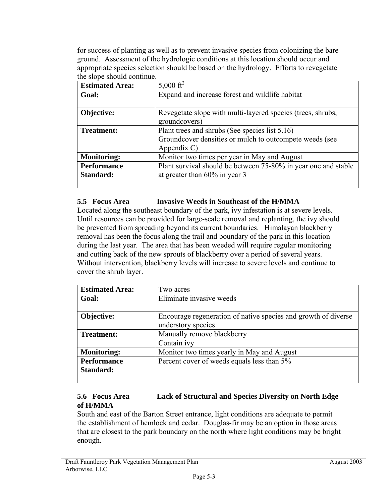for success of planting as well as to prevent invasive species from colonizing the bare ground. Assessment of the hydrologic conditions at this location should occur and appropriate species selection should be based on the hydrology. Efforts to revegetate the slope should continue.

| <b>Estimated Area:</b> | 5,000 $\rm ft^2$                                               |
|------------------------|----------------------------------------------------------------|
| Goal:                  | Expand and increase forest and wildlife habitat                |
|                        |                                                                |
| Objective:             | Revegetate slope with multi-layered species (trees, shrubs,    |
|                        | groundcovers)                                                  |
| <b>Treatment:</b>      | Plant trees and shrubs (See species list 5.16)                 |
|                        | Groundcover densities or mulch to outcompete weeds (see        |
|                        | Appendix C)                                                    |
| <b>Monitoring:</b>     | Monitor two times per year in May and August                   |
| <b>Performance</b>     | Plant survival should be between 75-80% in year one and stable |
| Standard:              | at greater than $60\%$ in year 3                               |
|                        |                                                                |

#### **5.5 Focus Area Invasive Weeds in Southeast of the H/MMA**

Located along the southeast boundary of the park, ivy infestation is at severe levels. Until resources can be provided for large-scale removal and replanting, the ivy should be prevented from spreading beyond its current boundaries. Himalayan blackberry removal has been the focus along the trail and boundary of the park in this location during the last year. The area that has been weeded will require regular monitoring and cutting back of the new sprouts of blackberry over a period of several years. Without intervention, blackberry levels will increase to severe levels and continue to cover the shrub layer.

| <b>Estimated Area:</b>          | Two acres                                                                            |
|---------------------------------|--------------------------------------------------------------------------------------|
| Goal:                           | Eliminate invasive weeds                                                             |
| Objective:                      | Encourage regeneration of native species and growth of diverse<br>understory species |
| Treatment:                      | Manually remove blackberry<br>Contain ivy                                            |
| <b>Monitoring:</b>              | Monitor two times yearly in May and August                                           |
| <b>Performance</b><br>Standard: | Percent cover of weeds equals less than 5%                                           |

#### **5.6 Focus Area Lack of Structural and Species Diversity on North Edge of H/MMA**

South and east of the Barton Street entrance, light conditions are adequate to permit the establishment of hemlock and cedar. Douglas-fir may be an option in those areas that are closest to the park boundary on the north where light conditions may be bright enough.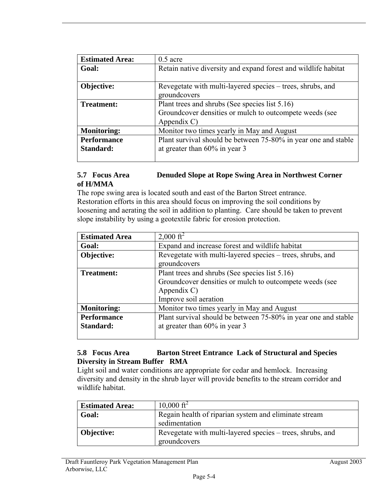| <b>Estimated Area:</b> | $0.5$ acre                                                     |
|------------------------|----------------------------------------------------------------|
| Goal:                  | Retain native diversity and expand forest and wildlife habitat |
|                        |                                                                |
| Objective:             | Revegetate with multi-layered species – trees, shrubs, and     |
|                        | groundcovers                                                   |
| <b>Treatment:</b>      | Plant trees and shrubs (See species list 5.16)                 |
|                        | Groundcover densities or mulch to outcompete weeds (see        |
|                        | Appendix C)                                                    |
| <b>Monitoring:</b>     | Monitor two times yearly in May and August                     |
| <b>Performance</b>     | Plant survival should be between 75-80% in year one and stable |
| Standard:              | at greater than $60\%$ in year 3                               |
|                        |                                                                |

#### **5.7 Focus Area Denuded Slope at Rope Swing Area in Northwest Corner of H/MMA**

The rope swing area is located south and east of the Barton Street entrance. Restoration efforts in this area should focus on improving the soil conditions by loosening and aerating the soil in addition to planting. Care should be taken to prevent slope instability by using a geotextile fabric for erosion protection.

| <b>Estimated Area</b> | $2,000 \text{ ft}^2$                                           |
|-----------------------|----------------------------------------------------------------|
| Goal:                 | Expand and increase forest and wildlife habitat                |
| Objective:            | Revegetate with multi-layered species – trees, shrubs, and     |
|                       | groundcovers                                                   |
| <b>Treatment:</b>     | Plant trees and shrubs (See species list 5.16)                 |
|                       | Groundcover densities or mulch to outcompete weeds (see        |
|                       | Appendix C)                                                    |
|                       | Improve soil aeration                                          |
| <b>Monitoring:</b>    | Monitor two times yearly in May and August                     |
| <b>Performance</b>    | Plant survival should be between 75-80% in year one and stable |
| Standard:             | at greater than $60\%$ in year 3                               |
|                       |                                                                |

#### **5.8 Focus Area Barton Street Entrance Lack of Structural and Species Diversity in Stream Buffer RMA**

Light soil and water conditions are appropriate for cedar and hemlock. Increasing diversity and density in the shrub layer will provide benefits to the stream corridor and wildlife habitat.

| <b>Estimated Area:</b> | $10,000 \text{ ft}^2$                                                      |
|------------------------|----------------------------------------------------------------------------|
| Goal:                  | Regain health of riparian system and eliminate stream                      |
|                        | sedimentation                                                              |
| <b>Objective:</b>      | Revegetate with multi-layered species – trees, shrubs, and<br>groundcovers |
|                        |                                                                            |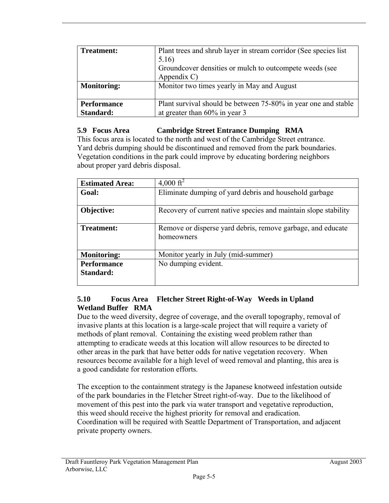| <b>Treatment:</b>               | Plant trees and shrub layer in stream corridor (See species list)<br>5.16)<br>Groundcover densities or mulch to outcompete weeds (see<br>Appendix C) |
|---------------------------------|------------------------------------------------------------------------------------------------------------------------------------------------------|
| <b>Monitoring:</b>              | Monitor two times yearly in May and August                                                                                                           |
| <b>Performance</b><br>Standard: | Plant survival should be between 75-80% in year one and stable<br>at greater than 60% in year 3                                                      |

## **5.9 Focus Area Cambridge Street Entrance Dumping RMA**

This focus area is located to the north and west of the Cambridge Street entrance. Yard debris dumping should be discontinued and removed from the park boundaries. Vegetation conditions in the park could improve by educating bordering neighbors about proper yard debris disposal.

| <b>Estimated Area:</b>          | 4,000 ft <sup>2</sup>                                                     |
|---------------------------------|---------------------------------------------------------------------------|
| Goal:                           | Eliminate dumping of yard debris and household garbage                    |
| Objective:                      | Recovery of current native species and maintain slope stability           |
| Treatment:                      | Remove or disperse yard debris, remove garbage, and educate<br>homeowners |
| <b>Monitoring:</b>              | Monitor yearly in July (mid-summer)                                       |
| <b>Performance</b><br>Standard: | No dumping evident.                                                       |

## **5.10 Focus Area Fletcher Street Right-of-Way Weeds in Upland Wetland Buffer RMA**

Due to the weed diversity, degree of coverage, and the overall topography, removal of invasive plants at this location is a large-scale project that will require a variety of methods of plant removal. Containing the existing weed problem rather than attempting to eradicate weeds at this location will allow resources to be directed to other areas in the park that have better odds for native vegetation recovery. When resources become available for a high level of weed removal and planting, this area is a good candidate for restoration efforts.

The exception to the containment strategy is the Japanese knotweed infestation outside of the park boundaries in the Fletcher Street right-of-way. Due to the likelihood of movement of this pest into the park via water transport and vegetative reproduction, this weed should receive the highest priority for removal and eradication. Coordination will be required with Seattle Department of Transportation, and adjacent private property owners.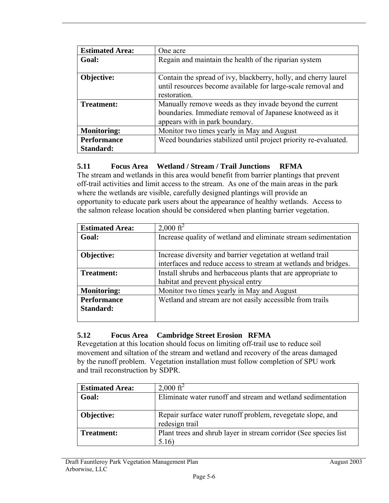| <b>Estimated Area:</b>          | One acre                                                                                                                                              |
|---------------------------------|-------------------------------------------------------------------------------------------------------------------------------------------------------|
| Goal:                           | Regain and maintain the health of the riparian system                                                                                                 |
| Objective:                      | Contain the spread of ivy, blackberry, holly, and cherry laurel<br>until resources become available for large-scale removal and<br>restoration.       |
| <b>Treatment:</b>               | Manually remove weeds as they invade beyond the current<br>boundaries. Immediate removal of Japanese knotweed as it<br>appears with in park boundary. |
| <b>Monitoring:</b>              | Monitor two times yearly in May and August                                                                                                            |
| <b>Performance</b><br>Standard: | Weed boundaries stabilized until project priority re-evaluated.                                                                                       |

#### **5.11 Focus Area Wetland / Stream / Trail Junctions RFMA**

The stream and wetlands in this area would benefit from barrier plantings that prevent off-trail activities and limit access to the stream. As one of the main areas in the park where the wetlands are visible, carefully designed plantings will provide an opportunity to educate park users about the appearance of healthy wetlands. Access to the salmon release location should be considered when planting barrier vegetation.

| <b>Estimated Area:</b> | $2,000 \text{ ft}^2$                                            |
|------------------------|-----------------------------------------------------------------|
| Goal:                  | Increase quality of wetland and eliminate stream sedimentation  |
|                        |                                                                 |
| Objective:             | Increase diversity and barrier vegetation at wetland trail      |
|                        | interfaces and reduce access to stream at wetlands and bridges. |
| <b>Treatment:</b>      | Install shrubs and herbaceous plants that are appropriate to    |
|                        | habitat and prevent physical entry                              |
| <b>Monitoring:</b>     | Monitor two times yearly in May and August                      |
| <b>Performance</b>     | Wetland and stream are not easily accessible from trails        |
| Standard:              |                                                                 |
|                        |                                                                 |

#### **5.12 Focus Area Cambridge Street Erosion RFMA**

Revegetation at this location should focus on limiting off-trail use to reduce soil movement and siltation of the stream and wetland and recovery of the areas damaged by the runoff problem. Vegetation installation must follow completion of SPU work and trail reconstruction by SDPR.

| <b>Estimated Area:</b> | $2,000 \text{ ft}^2$                                                         |
|------------------------|------------------------------------------------------------------------------|
| Goal:                  | Eliminate water runoff and stream and wetland sedimentation                  |
| Objective:             | Repair surface water runoff problem, revegetate slope, and<br>redesign trail |
| <b>Treatment:</b>      | Plant trees and shrub layer in stream corridor (See species list<br>5.16)    |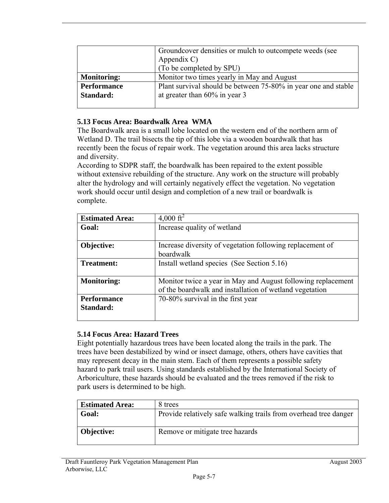|                                 | Groundcover densities or mulch to outcompete weeds (see<br>Appendix C)<br>(To be completed by SPU) |
|---------------------------------|----------------------------------------------------------------------------------------------------|
| <b>Monitoring:</b>              | Monitor two times yearly in May and August                                                         |
| <b>Performance</b><br>Standard: | Plant survival should be between 75-80% in year one and stable<br>at greater than $60\%$ in year 3 |

#### **5.13 Focus Area: Boardwalk Area WMA**

The Boardwalk area is a small lobe located on the western end of the northern arm of Wetland D. The trail bisects the tip of this lobe via a wooden boardwalk that has recently been the focus of repair work. The vegetation around this area lacks structure and diversity.

According to SDPR staff, the boardwalk has been repaired to the extent possible without extensive rebuilding of the structure. Any work on the structure will probably alter the hydrology and will certainly negatively effect the vegetation. No vegetation work should occur until design and completion of a new trail or boardwalk is complete.

| <b>Estimated Area:</b> | 4,000 $\rm ft^2$                                                                                                        |
|------------------------|-------------------------------------------------------------------------------------------------------------------------|
| Goal:                  | Increase quality of wetland                                                                                             |
|                        |                                                                                                                         |
| Objective:             | Increase diversity of vegetation following replacement of                                                               |
|                        | boardwalk                                                                                                               |
| <b>Treatment:</b>      | Install wetland species (See Section 5.16)                                                                              |
| <b>Monitoring:</b>     | Monitor twice a year in May and August following replacement<br>of the boardwalk and installation of wetland vegetation |
| <b>Performance</b>     | 70-80% survival in the first year                                                                                       |
| Standard:              |                                                                                                                         |
|                        |                                                                                                                         |

#### **5.14 Focus Area: Hazard Trees**

Eight potentially hazardous trees have been located along the trails in the park. The trees have been destabilized by wind or insect damage, others, others have cavities that may represent decay in the main stem. Each of them represents a possible safety hazard to park trail users. Using standards established by the International Society of Arboriculture, these hazards should be evaluated and the trees removed if the risk to park users is determined to be high.

| <b>Estimated Area:</b> | 8 trees                                                          |
|------------------------|------------------------------------------------------------------|
| Goal:                  | Provide relatively safe walking trails from overhead tree danger |
| <b>Objective:</b>      | Remove or mitigate tree hazards                                  |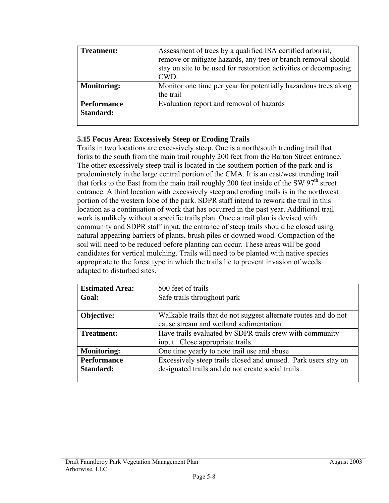| <b>Treatment:</b>               | Assessment of trees by a qualified ISA certified arborist,<br>remove or mitigate hazards, any tree or branch removal should<br>stay on site to be used for restoration activities or decomposing<br>CWD. |
|---------------------------------|----------------------------------------------------------------------------------------------------------------------------------------------------------------------------------------------------------|
| <b>Monitoring:</b>              | Monitor one time per year for potentially hazardous trees along<br>the trail                                                                                                                             |
| <b>Performance</b><br>Standard: | Evaluation report and removal of hazards                                                                                                                                                                 |

#### **5.15 Focus Area: Excessively Steep or Eroding Trails**

Trails in two locations are excessively steep. One is a north/south trending trail that forks to the south from the main trail roughly 200 feet from the Barton Street entrance. The other excessively steep trail is located in the southern portion of the park and is predominately in the large central portion of the CMA. It is an east/west trending trail that forks to the East from the main trail roughly 200 feet inside of the SW  $97<sup>th</sup>$  street entrance. A third location with excessively steep and eroding trails is in the northwest portion of the western lobe of the park. SDPR staff intend to rework the trail in this location as a continuation of work that has occurred in the past year. Additional trail work is unlikely without a specific trails plan. Once a trail plan is devised with community and SDPR staff input, the entrance of steep trails should be closed using natural appearing barriers of plants, brush piles or downed wood. Compaction of the soil will need to be reduced before planting can occur. These areas will be good candidates for vertical mulching. Trails will need to be planted with native species appropriate to the forest type in which the trails lie to prevent invasion of weeds adapted to disturbed sites.

| <b>Estimated Area:</b>          | 500 feet of trails                                                                                                  |
|---------------------------------|---------------------------------------------------------------------------------------------------------------------|
| Goal:                           | Safe trails throughout park                                                                                         |
| Objective:                      | Walkable trails that do not suggest alternate routes and do not<br>cause stream and wetland sedimentation           |
| <b>Treatment:</b>               | Have trails evaluated by SDPR trails crew with community<br>input. Close appropriate trails.                        |
| <b>Monitoring:</b>              | One time yearly to note trail use and abuse                                                                         |
| <b>Performance</b><br>Standard: | Excessively steep trails closed and unused. Park users stay on<br>designated trails and do not create social trails |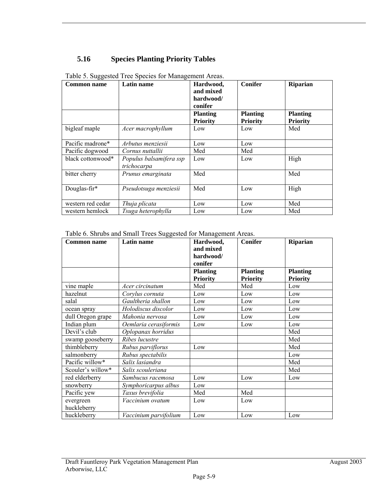# **5.16 Species Planting Priority Tables**

| <b>Common name</b> | Latin name                             | Hardwood,<br>and mixed<br>hardwood/<br>conifer | <b>Conifer</b>                     | Riparian                           |
|--------------------|----------------------------------------|------------------------------------------------|------------------------------------|------------------------------------|
|                    |                                        | <b>Planting</b><br><b>Priority</b>             | <b>Planting</b><br><b>Priority</b> | <b>Planting</b><br><b>Priority</b> |
| bigleaf maple      | Acer macrophyllum                      | Low                                            | Low                                | Med                                |
| Pacific madrone*   | Arbutus menziesii                      | Low                                            | Low                                |                                    |
| Pacific dogwood    | Cornus nuttallii                       | Med                                            | Med                                |                                    |
| black cottonwood*  | Populus balsamifera ssp<br>trichocarpa | Low                                            | Low                                | High                               |
| bitter cherry      | Prunus emarginata                      | Med                                            |                                    | Med                                |
| Douglas-fir*       | Pseudotsuga menziesii                  | Med                                            | Low                                | High                               |
| western red cedar  | Thuja plicata                          | Low                                            | Low                                | Med                                |
| western hemlock    | Tsuga heterophylla                     | Low                                            | Low                                | Med                                |

Table 5. Suggested Tree Species for Management Areas.

Table 6. Shrubs and Small Trees Suggested for Management Areas.

| <b>Common name</b>       | Latin name            | Hardwood,<br>and mixed<br>hardwood/<br>conifer | <b>Conifer</b>         | Riparian               |
|--------------------------|-----------------------|------------------------------------------------|------------------------|------------------------|
|                          |                       | <b>Planting</b>                                | <b>Planting</b>        | <b>Planting</b>        |
| vine maple               | Acer circinatum       | <b>Priority</b><br>Med                         | <b>Priority</b><br>Med | <b>Priority</b><br>Low |
| hazelnut                 | Corylus cornuta       | Low                                            | Low                    | Low                    |
| salal                    | Gaultheria shallon    | Low                                            | Low                    | Low                    |
| ocean spray              | Holodiscus discolor   | Low                                            | Low                    | Low                    |
| dull Oregon grape        | Mahonia nervosa       | Low                                            | Low                    | Low                    |
| Indian plum              | Oemlaria cerasiformis | Low                                            | Low                    | Low                    |
| Devil's club             | Oplopanax horridus    |                                                |                        | Med                    |
| swamp gooseberry         | Ribes lucustre        |                                                |                        | Med                    |
| thimbleberry             | Rubus parviflorus     | Low                                            |                        | Med                    |
| salmonberry              | Rubus spectabilis     |                                                |                        | Low                    |
| Pacific willow*          | Salix lasiandra       |                                                |                        | Med                    |
| Scouler's willow*        | Salix scouleriana     |                                                |                        | Med                    |
| red elderberry           | Sambucus racemosa     | Low                                            | Low                    | Low                    |
| snowberry                | Symphoricarpus albus  | Low                                            |                        |                        |
| Pacific yew              | Taxus brevifolia      | Med                                            | Med                    |                        |
| evergreen<br>huckleberry | Vaccinium ovatum      | Low                                            | Low                    |                        |
| huckleberry              | Vaccinium parvifolium | Low                                            | Low                    | Low                    |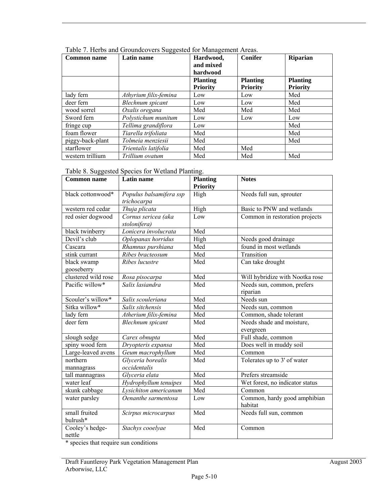| <b>Common name</b> | Latin name            |                 | <b>Conifer</b>  | <b>Riparian</b> |
|--------------------|-----------------------|-----------------|-----------------|-----------------|
|                    |                       | and mixed       |                 |                 |
|                    |                       | hardwood        |                 |                 |
|                    |                       | <b>Planting</b> | <b>Planting</b> | <b>Planting</b> |
|                    |                       | <b>Priority</b> | <b>Priority</b> | <b>Priority</b> |
| lady fern          | Athyrium filix-femina | Low             | Low             | Med             |
| deer fern          | Blechnum spicant      | Low             | Low             | Med             |
| wood sorrel        | Oxalis oregana        | Med             | Med             | Med             |
| Sword fern         | Polystichum munitum   | Low             | Low             | Low             |
| fringe cup         | Tellima grandiflora   | Low             |                 | Med             |
| foam flower        | Tiarella trifoliata   | Med             |                 | Med             |
| piggy-back-plant   | Tolmeia menziesii     | Med             |                 | Med             |
| starflower         | Trientalis latifolia  | Med             | Med             |                 |
| western trillium   | Trillium ovatum       | Med             | Med             | Med             |

Table 7. Herbs and Groundcovers Suggested for Management Areas.

| Table 8. Suggested Species for Wetland Planting. |  |
|--------------------------------------------------|--|
|--------------------------------------------------|--|

| <b>Common name</b>  | <b>Latin name</b>              | <b>Planting</b> | <b>Notes</b>                    |
|---------------------|--------------------------------|-----------------|---------------------------------|
|                     |                                | <b>Priority</b> |                                 |
| black cottonwood*   | Populus balsamifera ssp        | High            | Needs full sun, sprouter        |
|                     | trichocarpa                    |                 |                                 |
| western red cedar   | Thuja plicata                  | High            | Basic to PNW and wetlands       |
| red osier dogwood   | Cornus sericea (aka            | Low             | Common in restoration projects  |
|                     | stolonifera)                   |                 |                                 |
| black twinberry     | Lonicera involucrata           | Med             |                                 |
| Devil's club        | Oplopanax horridus             | High            | Needs good drainage             |
| Cascara             | Rhamnus purshiana              | Med             | found in most wetlands          |
| stink currant       | $\overline{R}$ ibes bracteosum | Med             | Transition                      |
| black swamp         | Ribes lucustre                 | Med             | Can take drought                |
| gooseberry          |                                |                 |                                 |
| clustered wild rose | Rosa pisocarpa                 | Med             | Will hybridize with Nootka rose |
| Pacific willow*     | Salix lasiandra                | Med             | Needs sun, common, prefers      |
|                     |                                |                 | riparian                        |
| Scouler's willow*   | Salix scouleriana              | Med             | $\overline{\text{N}}$ eeds sun  |
| Sitka willow*       | Salix sitchensis               | Med             | Needs sun, common               |
| lady fern           | Atherium filix-femina          | Med             | Common, shade tolerant          |
| deer fern           | <b>Blechnum</b> spicant        | Med             | Needs shade and moisture,       |
|                     |                                |                 | evergreen                       |
| slough sedge        | Carex obnupta                  | Med             | Full shade, common              |
| spiny wood fern     | Dryopteris expansa             | Med             | Does well in muddy soil         |
| Large-leaved avens  | Geum macrophyllum              | Med             | Common                          |
| northern            | Glyceria borealis              | Med             | Tolerates up to 3' of water     |
| mannagrass          | occidentalis                   |                 |                                 |
| tall mannagrass     | Glyceria elata                 | Med             | Prefers streamside              |
| water leaf          | Hydrophyllum tenuipes          | Med             | Wet forest, no indicator status |
| skunk cabbage       | Lysichiton americanum          | Med             | Common                          |
| water parsley       | Oenanthe sarmentosa            | Low             | Common, hardy good amphibian    |
|                     |                                |                 | habitat                         |
| small fruited       | Scirpus microcarpus            | Med             | Needs full sun, common          |
| bulrush*            |                                |                 |                                 |
| Cooley's hedge-     | Stachys cooelyae               | Med             | Common                          |
| nettle              |                                |                 |                                 |

\* species that require sun conditions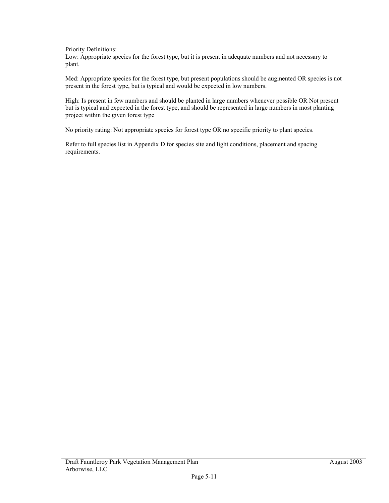Priority Definitions:

Low: Appropriate species for the forest type, but it is present in adequate numbers and not necessary to plant.

Med: Appropriate species for the forest type, but present populations should be augmented OR species is not present in the forest type, but is typical and would be expected in low numbers.

High: Is present in few numbers and should be planted in large numbers whenever possible OR Not present but is typical and expected in the forest type, and should be represented in large numbers in most planting project within the given forest type

No priority rating: Not appropriate species for forest type OR no specific priority to plant species.

Refer to full species list in Appendix D for species site and light conditions, placement and spacing requirements.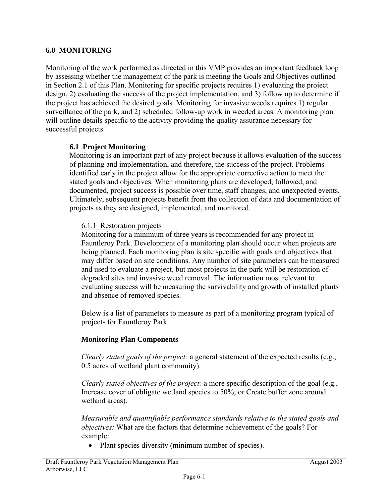## **6.0 MONITORING**

Monitoring of the work performed as directed in this VMP provides an important feedback loop by assessing whether the management of the park is meeting the Goals and Objectives outlined in Section 2.1 of this Plan. Monitoring for specific projects requires 1) evaluating the project design, 2) evaluating the success of the project implementation, and 3) follow up to determine if the project has achieved the desired goals. Monitoring for invasive weeds requires 1) regular surveillance of the park, and 2) scheduled follow-up work in weeded areas. A monitoring plan will outline details specific to the activity providing the quality assurance necessary for successful projects.

# **6.1 Project Monitoring**

Monitoring is an important part of any project because it allows evaluation of the success of planning and implementation, and therefore, the success of the project. Problems identified early in the project allow for the appropriate corrective action to meet the stated goals and objectives. When monitoring plans are developed, followed, and documented, project success is possible over time, staff changes, and unexpected events. Ultimately, subsequent projects benefit from the collection of data and documentation of projects as they are designed, implemented, and monitored.

#### 6.1.1 Restoration projects

Monitoring for a minimum of three years is recommended for any project in Fauntleroy Park. Development of a monitoring plan should occur when projects are being planned. Each monitoring plan is site specific with goals and objectives that may differ based on site conditions. Any number of site parameters can be measured and used to evaluate a project, but most projects in the park will be restoration of degraded sites and invasive weed removal. The information most relevant to evaluating success will be measuring the survivability and growth of installed plants and absence of removed species.

Below is a list of parameters to measure as part of a monitoring program typical of projects for Fauntleroy Park.

## **Monitoring Plan Components**

*Clearly stated goals of the project:* a general statement of the expected results (e.g., 0.5 acres of wetland plant community).

*Clearly stated objectives of the project:* a more specific description of the goal (e.g., Increase cover of obligate wetland species to 50%; or Create buffer zone around wetland areas).

*Measurable and quantifiable performance standards relative to the stated goals and objectives:* What are the factors that determine achievement of the goals? For example:

• Plant species diversity (minimum number of species).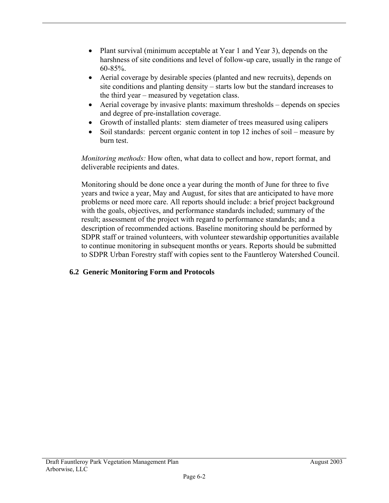- Plant survival (minimum acceptable at Year 1 and Year 3), depends on the harshness of site conditions and level of follow-up care, usually in the range of 60-85%.
- Aerial coverage by desirable species (planted and new recruits), depends on site conditions and planting density – starts low but the standard increases to the third year – measured by vegetation class.
- Aerial coverage by invasive plants: maximum thresholds depends on species and degree of pre-installation coverage.
- Growth of installed plants: stem diameter of trees measured using calipers
- Soil standards: percent organic content in top 12 inches of soil measure by burn test.

*Monitoring methods:* How often, what data to collect and how, report format, and deliverable recipients and dates.

Monitoring should be done once a year during the month of June for three to five years and twice a year, May and August, for sites that are anticipated to have more problems or need more care. All reports should include: a brief project background with the goals, objectives, and performance standards included; summary of the result; assessment of the project with regard to performance standards; and a description of recommended actions. Baseline monitoring should be performed by SDPR staff or trained volunteers, with volunteer stewardship opportunities available to continue monitoring in subsequent months or years. Reports should be submitted to SDPR Urban Forestry staff with copies sent to the Fauntleroy Watershed Council.

# **6.2 Generic Monitoring Form and Protocols**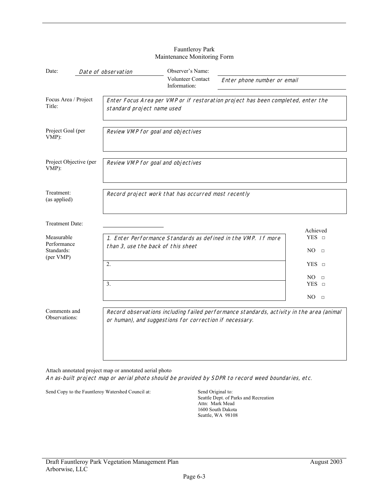| Date:                                                | Date of observation                                     | Observer's Name:                         |                                                                                          |                                  |
|------------------------------------------------------|---------------------------------------------------------|------------------------------------------|------------------------------------------------------------------------------------------|----------------------------------|
|                                                      |                                                         | <b>Volunteer Contact</b><br>Information: | Enter phone number or email                                                              |                                  |
| Focus Area / Project<br>Title:                       | standard project name used                              |                                          | Enter Focus Area per VMP or if restoration project has been completed, enter the         |                                  |
| Project Goal (per<br>VMP):                           | Review VMP for goal and objectives                      |                                          |                                                                                          |                                  |
| Project Objective (per<br>VMP):                      | Review VMP for goal and objectives                      |                                          |                                                                                          |                                  |
| Treatment:<br>(as applied)                           | Record project work that has occurred most recently     |                                          |                                                                                          |                                  |
| Treatment Date:                                      |                                                         |                                          |                                                                                          | Achieved                         |
| Measurable<br>Performance<br>Standards:<br>(per VMP) | than 3, use the back of this sheet                      |                                          | 1. Enter Performance Standards as defined in the VMP. If more                            | $YES$ $\square$<br>NO.<br>$\Box$ |
|                                                      | 2.                                                      |                                          |                                                                                          | $YES =$                          |
|                                                      | 3.                                                      |                                          |                                                                                          | NO<br>$\Box$<br>$YES\_$          |
|                                                      |                                                         |                                          |                                                                                          | NO.<br>$\Box$                    |
| Comments and<br>Observations:                        | or human), and suggestions for correction if necessary. |                                          | Record observations including failed performance standards, activity in the area (animal |                                  |

#### Fauntleroy Park Maintenance Monitoring Form

Attach annotated project map or annotated aerial photo An as-built project map or aerial photo should be provided by SDPR to record weed boundaries, etc.

Send Copy to the Fauntleroy Watershed Council at: Send Original to:

Seattle Dept. of Parks and Recreation Attn: Mark Mead 1600 South Dakota Seattle, WA 98108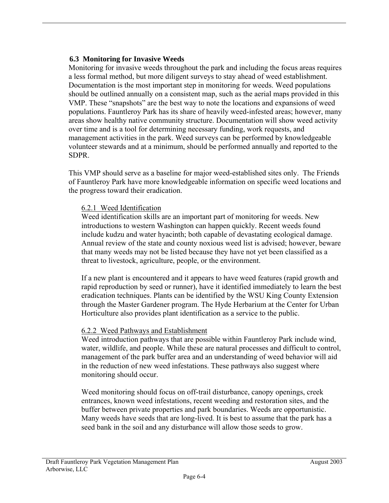## **6.3 Monitoring for Invasive Weeds**

Monitoring for invasive weeds throughout the park and including the focus areas requires a less formal method, but more diligent surveys to stay ahead of weed establishment. Documentation is the most important step in monitoring for weeds. Weed populations should be outlined annually on a consistent map, such as the aerial maps provided in this VMP. These "snapshots" are the best way to note the locations and expansions of weed populations. Fauntleroy Park has its share of heavily weed-infested areas; however, many areas show healthy native community structure. Documentation will show weed activity over time and is a tool for determining necessary funding, work requests, and management activities in the park. Weed surveys can be performed by knowledgeable volunteer stewards and at a minimum, should be performed annually and reported to the SDPR.

This VMP should serve as a baseline for major weed-established sites only. The Friends of Fauntleroy Park have more knowledgeable information on specific weed locations and the progress toward their eradication.

#### 6.2.1 Weed Identification

Weed identification skills are an important part of monitoring for weeds. New introductions to western Washington can happen quickly. Recent weeds found include kudzu and water hyacinth; both capable of devastating ecological damage. Annual review of the state and county noxious weed list is advised; however, beware that many weeds may not be listed because they have not yet been classified as a threat to livestock, agriculture, people, or the environment.

If a new plant is encountered and it appears to have weed features (rapid growth and rapid reproduction by seed or runner), have it identified immediately to learn the best eradication techniques. Plants can be identified by the WSU King County Extension through the Master Gardener program. The Hyde Herbarium at the Center for Urban Horticulture also provides plant identification as a service to the public.

## 6.2.2 Weed Pathways and Establishment

Weed introduction pathways that are possible within Fauntleroy Park include wind, water, wildlife, and people. While these are natural processes and difficult to control, management of the park buffer area and an understanding of weed behavior will aid in the reduction of new weed infestations. These pathways also suggest where monitoring should occur.

Weed monitoring should focus on off-trail disturbance, canopy openings, creek entrances, known weed infestations, recent weeding and restoration sites, and the buffer between private properties and park boundaries. Weeds are opportunistic. Many weeds have seeds that are long-lived. It is best to assume that the park has a seed bank in the soil and any disturbance will allow those seeds to grow.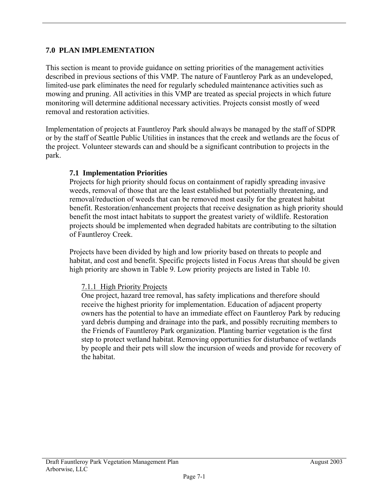## **7.0 PLAN IMPLEMENTATION**

This section is meant to provide guidance on setting priorities of the management activities described in previous sections of this VMP. The nature of Fauntleroy Park as an undeveloped, limited-use park eliminates the need for regularly scheduled maintenance activities such as mowing and pruning. All activities in this VMP are treated as special projects in which future monitoring will determine additional necessary activities. Projects consist mostly of weed removal and restoration activities.

Implementation of projects at Fauntleroy Park should always be managed by the staff of SDPR or by the staff of Seattle Public Utilities in instances that the creek and wetlands are the focus of the project. Volunteer stewards can and should be a significant contribution to projects in the park.

## **7.1 Implementation Priorities**

Projects for high priority should focus on containment of rapidly spreading invasive weeds, removal of those that are the least established but potentially threatening, and removal/reduction of weeds that can be removed most easily for the greatest habitat benefit. Restoration/enhancement projects that receive designation as high priority should benefit the most intact habitats to support the greatest variety of wildlife. Restoration projects should be implemented when degraded habitats are contributing to the siltation of Fauntleroy Creek.

Projects have been divided by high and low priority based on threats to people and habitat, and cost and benefit. Specific projects listed in Focus Areas that should be given high priority are shown in Table 9. Low priority projects are listed in Table 10.

## 7.1.1 High Priority Projects

One project, hazard tree removal, has safety implications and therefore should receive the highest priority for implementation. Education of adjacent property owners has the potential to have an immediate effect on Fauntleroy Park by reducing yard debris dumping and drainage into the park, and possibly recruiting members to the Friends of Fauntleroy Park organization. Planting barrier vegetation is the first step to protect wetland habitat. Removing opportunities for disturbance of wetlands by people and their pets will slow the incursion of weeds and provide for recovery of the habitat.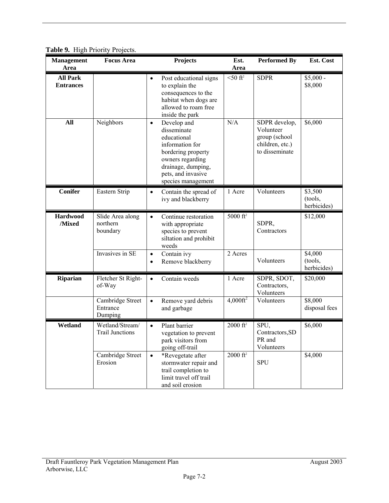| <b>Management</b><br>Area           | <b>Focus Area</b>                         | <b>Projects</b>                                                                                                                                                                       | Est.<br>Area           | <b>Performed By</b>                                                              | Est. Cost                         |
|-------------------------------------|-------------------------------------------|---------------------------------------------------------------------------------------------------------------------------------------------------------------------------------------|------------------------|----------------------------------------------------------------------------------|-----------------------------------|
| <b>All Park</b><br><b>Entrances</b> |                                           | Post educational signs<br>$\bullet$<br>to explain the<br>consequences to the<br>habitat when dogs are<br>allowed to roam free<br>inside the park                                      | $<$ 50 ft <sup>2</sup> | <b>SDPR</b>                                                                      | $$5,000 -$<br>\$8,000             |
| All                                 | Neighbors                                 | Develop and<br>$\bullet$<br>disseminate<br>educational<br>information for<br>bordering property<br>owners regarding<br>drainage, dumping,<br>pets, and invasive<br>species management | N/A                    | SDPR develop,<br>Volunteer<br>group (school<br>children, etc.)<br>to disseminate | \$6,000                           |
| <b>Conifer</b>                      | Eastern Strip                             | Contain the spread of<br>$\bullet$<br>ivy and blackberry                                                                                                                              | 1 Acre                 | Volunteers                                                                       | \$3,500<br>(tools,<br>herbicides) |
| <b>Hardwood</b><br>/Mixed           | Slide Area along<br>northern<br>boundary  | Continue restoration<br>$\bullet$<br>with appropriate<br>species to prevent<br>siltation and prohibit<br>weeds                                                                        | 5000 ft <sup>2</sup>   | SDPR,<br>Contractors                                                             | \$12,000                          |
|                                     | Invasives in SE                           | Contain ivy<br>$\bullet$<br>Remove blackberry<br>$\bullet$                                                                                                                            | 2 Acres                | Volunteers                                                                       | \$4,000<br>(tools,<br>herbicides) |
| Riparian                            | Fletcher St Right-<br>of-Way              | Contain weeds<br>$\bullet$                                                                                                                                                            | 1 Acre                 | SDPR, SDOT,<br>Contractors,<br>Volunteers                                        | \$20,000                          |
|                                     | Cambridge Street<br>Entrance<br>Dumping   | Remove yard debris<br>$\bullet$<br>and garbage                                                                                                                                        | $4,000 \text{ft}^2$    | Volunteers                                                                       | \$8,000<br>disposal fees          |
| Wetland                             | Wetland/Stream/<br><b>Trail Junctions</b> | Plant barrier<br>$\bullet$<br>vegetation to prevent<br>park visitors from<br>going off-trail                                                                                          | $2000 \text{ ft}^2$    | SPU,<br>Contractors, SD<br>PR and<br>Volunteers                                  | \$6,000                           |
|                                     | Cambridge Street<br>Erosion               | *Revegetate after<br>$\bullet$<br>stormwater repair and<br>trail completion to<br>limit travel off trail<br>and soil erosion                                                          | $2000$ ft <sup>2</sup> | <b>SPU</b>                                                                       | \$4,000                           |

**Table 9.** High Priority Projects.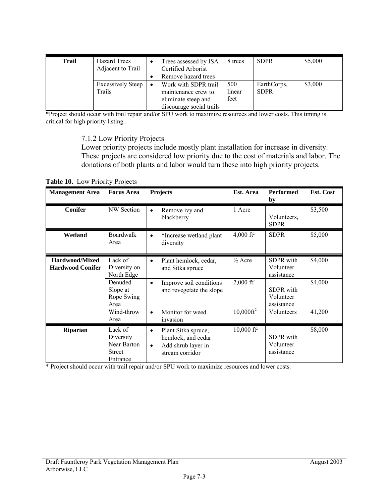| <b>Trail</b> | Hazard Trees<br>Adjacent to Trail  | Trees assessed by ISA<br>Certified Arborist<br>Remove hazard trees                                          | 8 trees               | <b>SDPR</b>                | \$5,000 |
|--------------|------------------------------------|-------------------------------------------------------------------------------------------------------------|-----------------------|----------------------------|---------|
|              | <b>Excessively Steep</b><br>Trails | Work with SDPR trail<br>$\bullet$<br>maintenance crew to<br>eliminate steep and<br>discourage social trails | 500<br>linear<br>feet | EarthCorps,<br><b>SDPR</b> | \$3,000 |

\*Project should occur with trail repair and/or SPU work to maximize resources and lower costs. This timing is critical for high priority listing.

7.1.2 Low Priority Projects

Lower priority projects include mostly plant installation for increase in diversity. These projects are considered low priority due to the cost of materials and labor. The donations of both plants and labor would turn these into high priority projects.

**Table 10.** Low Priority Projects

| <b>Management Area</b>                           | <b>Focus Area</b>                                                                                        | <b>Projects</b>                                                                                                                                            | Est. Area                                                          | <b>Performed</b><br>by                                                                                   | Est. Cost                    |
|--------------------------------------------------|----------------------------------------------------------------------------------------------------------|------------------------------------------------------------------------------------------------------------------------------------------------------------|--------------------------------------------------------------------|----------------------------------------------------------------------------------------------------------|------------------------------|
| <b>Conifer</b>                                   | NW Section                                                                                               | Remove ivy and<br>$\bullet$<br>blackberry                                                                                                                  | 1 Acre                                                             | Volunteers.<br><b>SDPR</b>                                                                               | \$3,500                      |
| Wetland                                          | Boardwalk<br>Area                                                                                        | *Increase wetland plant<br>$\bullet$<br>diversity                                                                                                          | $4,000$ ft <sup>2</sup>                                            | <b>SDPR</b>                                                                                              | \$5,000                      |
| <b>Hardwood/Mixed</b><br><b>Hardwood Conifer</b> | Lack of<br>Diversity on<br>North Edge<br>Denuded<br>Slope at<br>Rope Swing<br>Area<br>Wind-throw<br>Area | Plant hemlock, cedar,<br>$\bullet$<br>and Sitka spruce<br>Improve soil conditions<br>$\bullet$<br>and revegetate the slope<br>Monitor for weed<br>invasion | $\frac{1}{2}$ Acre<br>$2,000 \text{ ft}^2$<br>$10,000 \text{ft}^2$ | <b>SDPR</b> with<br>Volunteer<br>assistance<br><b>SDPR</b> with<br>Volunteer<br>assistance<br>Volunteers | \$4,000<br>\$4,000<br>41,200 |
| <b>Riparian</b>                                  | Lack of<br>Diversity<br>Near Barton<br><b>Street</b><br>Entrance                                         | Plant Sitka spruce,<br>$\bullet$<br>hemlock, and cedar<br>Add shrub layer in<br>$\bullet$<br>stream corridor                                               | $10,000 \text{ ft}^2$                                              | <b>SDPR</b> with<br>Volunteer<br>assistance                                                              | \$8,000                      |

\* Project should occur with trail repair and/or SPU work to maximize resources and lower costs.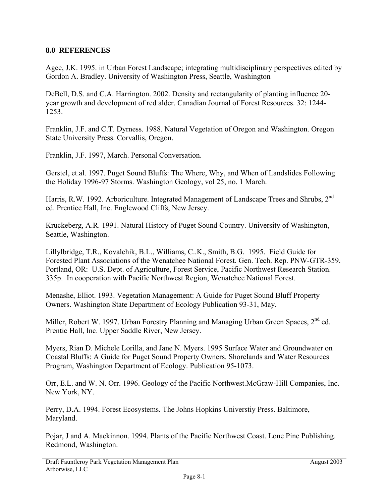#### **8.0 REFERENCES**

Agee, J.K. 1995. in Urban Forest Landscape; integrating multidisciplinary perspectives edited by Gordon A. Bradley. University of Washington Press, Seattle, Washington

DeBell, D.S. and C.A. Harrington. 2002. Density and rectangularity of planting influence 20 year growth and development of red alder. Canadian Journal of Forest Resources. 32: 1244- 1253.

Franklin, J.F. and C.T. Dyrness. 1988. Natural Vegetation of Oregon and Washington. Oregon State University Press. Corvallis, Oregon.

Franklin, J.F. 1997, March. Personal Conversation.

Gerstel, et.al. 1997. Puget Sound Bluffs: The Where, Why, and When of Landslides Following the Holiday 1996-97 Storms. Washington Geology, vol 25, no. 1 March.

Harris, R.W. 1992. Arboriculture. Integrated Management of Landscape Trees and Shrubs, 2<sup>nd</sup> ed. Prentice Hall, Inc. Englewood Cliffs, New Jersey.

Kruckeberg, A.R. 1991. Natural History of Puget Sound Country. University of Washington, Seattle, Washington.

Lillylbridge, T.R., Kovalchik, B.L., Williams, C..K., Smith, B.G. 1995. Field Guide for Forested Plant Associations of the Wenatchee National Forest. Gen. Tech. Rep. PNW-GTR-359. Portland, OR: U.S. Dept. of Agriculture, Forest Service, Pacific Northwest Research Station. 335p. In cooperation with Pacific Northwest Region, Wenatchee National Forest.

Menashe, Elliot. 1993. Vegetation Management: A Guide for Puget Sound Bluff Property Owners. Washington State Department of Ecology Publication 93-31, May.

Miller, Robert W. 1997. Urban Forestry Planning and Managing Urban Green Spaces, 2<sup>nd</sup> ed. Prentic Hall, Inc. Upper Saddle River, New Jersey.

Myers, Rian D. Michele Lorilla, and Jane N. Myers. 1995 Surface Water and Groundwater on Coastal Bluffs: A Guide for Puget Sound Property Owners. Shorelands and Water Resources Program, Washington Department of Ecology. Publication 95-1073.

Orr, E.L. and W. N. Orr. 1996. Geology of the Pacific Northwest.McGraw-Hill Companies, Inc. New York, NY.

Perry, D.A. 1994. Forest Ecosystems. The Johns Hopkins Universtiy Press. Baltimore, Maryland.

Pojar, J and A. Mackinnon. 1994. Plants of the Pacific Northwest Coast. Lone Pine Publishing. Redmond, Washington.